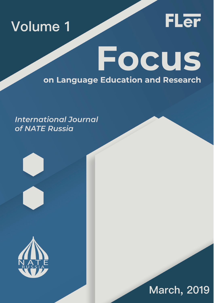



# **Focus** on Language Education and Research

### **International Journal** of NATE Russia





## **March, 2019**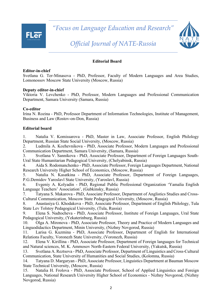*"Focus on Language Education and Research"*



### *Official Journal of NATE-Russia*

#### **Editorial Board**

#### **Editor-in-chief**

Svetlana G. Ter-Minasova - PhD, Professor, Faculty of Modern Languages and Area Studies, Lomonossov Moscow State University (Moscow, Russia)

#### **Deputy editor-in-chief**

Viktoria V. Levchenko - PhD, Professor, Modern Languages and Professional Communication Department, Samara University (Samara, Russia)

#### **Co-editor**

Irina N. Rozina - PhD, Professor Department of Information Technologies, Institute of Management, Business and Law (Rostov-on-Don, Russia)

#### **Editorial board**

1. Natalia V. Komissarova - PhD, Master in Law, Associate Professor, English Philology Department, Russian State Social University, (Moscow, Russia)

2. Ludmila A. Kozhevnikova - PhD, Associate Professor, Modern Languages and Professional Communication Department, Samara University, (Samara, Russia)

3. Svetlana V. Sannikova - PhD, Associate Professor, Department of Foreign Languages South-Ural State Humanitarian Pedagogical University, (Chelyabinsk, Russia)

4. Aida S. Rodomanchenko - PhD, Associate Professor, Foreign Languages Department, National Research University Higher School of Economics, (Moscow, Russia)

5. Natalia N. Kasatkina - PhD, Associate Professor, Department of Foreign Languages, P.G.Demidov Yaroslavl State University, (Yaroslavl, Russia)

6. Evgeniy A. Kolyadin - PhD, Regional Public Professional Organization 'Yamalia English Language Teachers' Association', (Gubkinsky, Russia)

7. Tatyana S. Makarova - PhD, Associate Professor, Department of Anglistics Studies and Cross-Cultural Communication, Moscow State Pedagogical University, (Moscow, Russia)

8. Anastasiya G. Khodakova - PhD, Associate Professor, Department of English Philology, Tula State Lev Tolstoy Pedagogical University, (Tula, Russia)

9. Elena S. Nadtocheva - PhD, Associate Professor, Institute of Foreign Languages, Ural State Pedagogical University, (Yekaterinburg, Russia)

10. Olga A. Mironova - PhD, Associate Professor, Theory and Practice of Modern Languages and Linguodidactics Department, Minin University, (Nizhny Novgorod, Russia)

11. Larisa G. Kuzmina - PhD, Associate Professor, Department of English for International Relations Faculty, Voronezh State University, (Voronezh, Russia)

12. Elena V. Kirillina - PhD, Associate Professor, Department of Foreign languages for Technical and Natural sciences, M. K. Ammosov North-Eastern Federal University, (Yakutsk, Russia)

13. Svetlana A. Reztsova - PhD, Associate Professor, Department of Linguistics and Cross-Cultural Communication, State University of Humanities and Social Studies, (Kolomna, Russia)

14. Tatyana D. Margaryan - PhD, Associate Professor, Linguistics Department at Bauman Moscow State Technical University, (Moscow, Russia)

15. Natalia H. Frolova - PhD, Associate Professor, School of Applied Linguistics and Foreign Languages, National Research University Higher School of Economics - Nizhny Novgorod, (Nizhny Novgorod, Russia)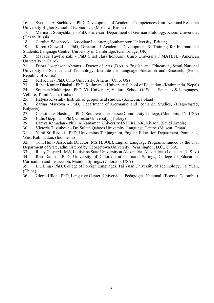16. Svetlana A. Suchkova - PhD, Development of Academic Competences Unit, National Research University Higher School of Economics, (Moscow, Russia)

17. Marina I. Solnyshkina - PhD, Professor, Department of German Philology, Kazan University, (Kazan, Russia)

18. Carolyn Westbrook - Associate Lecturer, (Southampton University, Britain)

19. Karen Ottewell - PhD, Director of Academic Development & Training for International Students, Language Centre, University of Cambridge, (Cambridge, UK)

20. Mayada Tawfik Zaki - PhD (First class honours), Cairo University / MATEFL (American University in Cairo)

21. Debra Josephson Abrams - Doctor of Arts (DA) in English and Education, Seoul National University of Science and Technology, Institute for Language Education and Research, (Seoul, Republic of Korea)

22. Jeff Kuhn - PhD, Ohio University, Athens, (Ohio, US)

23. Rebat Kumar Dhakal - PhD, Kathmandu University School of Education, (Kathmandu, Nepal)

24. Soumen Mukherjee - PhD, Vit University, Vellore, School Of Social Sciences & Languages, Vellore, Tamil Nadu, (India)

25. Halyna Krysiuk - Institute of geopolitical studies, (Szczecin, Poland)

26. Zarina Markova - PhD, Department of Germanic and Romance Studies, (Blagoevgrad, Bulgaria)

27. Christopher Hastings - PhD, Southwest Tennessee Community College, (Memphis, TN, USA) 28. Halis Gözpınar - PhD, Giresun University, (Turkey)

29. Lamya Ramadan - PhD, AlYamamah University INTERLINK, Riyadh, (Saudi Arabia)

30. Victoria Tuzlukova - Dr, Sultan Qaboos University, Language Centre, (Muscat, Oman)

31. Yanti Sri Rezeki - PhD, Universitas Tanjungpura, English Education Department, Pontianak, West Kalimantan, (Indonesia)

32. Toni Hull - Associate Director (MS TESOL), English Language Programs, funded by the U.S. Department of State, administered by Georgetown University, (Washington, D.C., U.S.A.)

33. Rusty Gaspard - MA, Louisiana State University at Alexandria, Alexandria, (Louisiana, U.S.A.)

34. Rob Danin - PhD, University of Colorado at Colorado Springs, College of Education, Curriculum and Instruction, Manitou Springs, (Colorado, USA)

35. Liu Bing - PhD, College of Foreign Languages, Tai Yuan University of Technology, Tai Yuan, (China)

36. Gloria Ulloa - PhD, Language Center, Universidad Pedagogica Nacional, (Bogota, Colombia)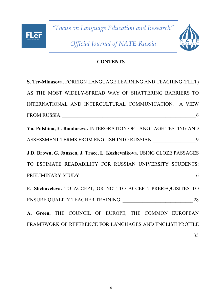## *"Focus on Language Education and Research" Official Journal of NATE-Russia*

**FLer** 



### **CONTENTS**

| S. Ter-Minasova. FOREIGN LANGUAGE LEARNING AND TEACHING (FLLT)          |
|-------------------------------------------------------------------------|
| AS THE MOST WIDELY-SPREAD WAY OF SHATTERING BARRIERS TO                 |
| INTERNATIONAL AND INTERCULTURAL COMMUNICATION. A VIEW                   |
|                                                                         |
| Yu. Polshina, E. Bondareva. INTERGRATION OF LANGUAGE TESTING AND        |
| ASSESSMENT TERMS FROM ENGLISH INTO RUSSIAN ______________________9      |
| J.D. Brown, G. Janssen, J. Trace, L. Kozhevnikova. USING CLOZE PASSAGES |
| TO ESTIMATE READABILITY FOR RUSSIAN UNIVERSITY STUDENTS:                |
| PRELIMINARY STUDY 16                                                    |
| E. Shchaveleva. TO ACCEPT, OR NOT TO ACCEPT: PREREQUISITES TO           |
|                                                                         |
| A. Green. THE COUNCIL OF EUROPE, THE COMMON EUROPEAN                    |
| FRAMEWORK OF REFERENCE FOR LANGUAGES AND ENGLISH PROFILE                |
| 35                                                                      |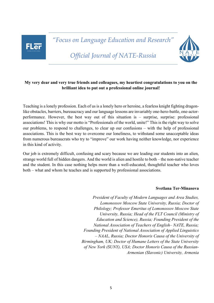## FLar

*"Focus on Language Education and Research"*



*Official Journal of NATE-Russia*

#### **My very dear and very true friends and colleagues, my heartiest congratulations to you on the brilliant idea to put out a professional online journal!**

Teaching is a lonely profession. Each of us is a lonely hero or heroine, a fearless knight fighting dragonlike obstacles, barriers, bureaucracy and our language lessons are invariably one-hero-battle, one-actorperformance. However, the best way out of this situation is – surprise, surprise: professional associations! This is why our motto is "Professionals of the world, unite!" This is the right way to solve our problems, to respond to challenges, to clear up our confusions – with the help of professional associations. This is the best way to overcome our loneliness, to withstand some unacceptable ideas from numerous bureaucrats who try to "improve" our work having neither knowledge, nor experience in this kind of activity.

Our job is extremely difficult, confusing and scary because we are leading our students into an alien, strange world full of hidden dangers. And the world is alien and hostile to both – the non-native teacher and the student. In this case nothing helps more than a well-educated, thoughtful teacher who loves both – what and whom he teaches and is supported by professional associations.

#### **Svetlana Ter-Minasova**

*President of Faculty of Modern Languages and Area Studies, Lomonossov Moscow State University, Russia; Doctor of Philology; Professor Emeritus of Lomonossov Moscow State University, Russia; Head of the FLT Council (Ministry of Education and Science), Russia; Founding President of the National Association of Teachers of English– NATE, Russia; Founding President of National Association of Applied Linguistics – NAAL, Russia; Doctor Honoris Causa of the University of Birmingham, UK; Doctor of Humane Letters of the State University of New York (SUNY), USA; Doctor Honoris Causa of the Russian-Armenian (Slavonic) University, Armenia*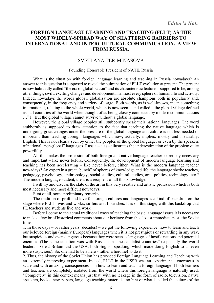#### **FOREIGN LANGUAGE LEARNING AND TEACHING (FLLT) AS THE MOST WIDELY-SPREAD WAY OF SHATTERING BARRIERS TO INTERNATIONAL AND INTERCULTURAL COMMUNICATION. A VIEW FROM RUSSIA.**

#### SVETLANA TER-MINASOVA

#### Founding Honorable President of NATE, Russia

What is the situation with foreign language learning and teaching in Russia nowadays? An answer to this question is supposed to reveal the culmination of FLLT evolution at present. The present is now habitually called "the era of globalization" and its characteristic feature is supposed to be, among other things, swift, exciting changes and development in almost every sphere of human life and activity. Indeed, nowadays the words global, globalization are absolute champions both in popularity and, consequently, in the frequency and variety of usage. Both words, as is well-known, mean something international, relating to the whole world, which is now seen – and called – the global village defined as "all countries of the world when thought of as being closely connected by modern communications …"1. But the global village cannot survive without a global language.

However, the global village peoples still stubbornly speak their national languages. The word stubbornly is supposed to draw attention to the fact that teaching the native language which is undergoing great changes under the pressure of the global language and culture is not less needed or important than teaching foreign languages which now, actually, implies, mostly and invariably, English. This is not clearly seen by either the peoples of the global language, or even by the speakers of national "non-global" languages. Russia – alas – illustrates the underestimation of the problem quite powerfully.

All this makes the profession of both foreign and native language teacher extremely necessary and important – like never before. Consequently, the development of modern language learning and teaching has been accelerating – like never before, either. What is the modern language teacher nowadays? An expert in a great "bunch" of spheres of knowledge and life: the language she/he teaches, pedagogy, psychology, anthropology, social studies, cultural studies, arts, politics, technology, etc.? The modern language student, then, is a recipient of all this knowledge.

I will try and discuss the state of the art in this very creative and artistic profession which is both most necessary and most difficult nowadays.

First of all, some preliminary remarks.

The tradition of profound love for foreign cultures and languages is a kind of backdrop on the stage where FLLT lives and works, suffers and flourishes. It is on this stage, with this backdrop that FL teachers and students live and work.

Before I come to the actual traditional ways of teaching the basic language issues it is necessary to make a few brief historical comments about our heritage from the closest immediate past: the Soviet time.

1. In those days – or rather years (decades) – we got the following experience: how to learn and teach our beloved foreign (mainly European) languages when it is not prestigious or rewarding in any way, but suspicious and even dangerous because they were seen as languages of hostile nations and potential enemies. (The same situation was with Russian in "the capitalist countries" (especially the world leaders – Great Britain and the USA, both English-speaking, which made doing English to us even more suspicious). So, one had to be a hero - rather a heroine! to do it.

2. Thus, the history of the Soviet Union has provided Foreign Language Learning and Teaching with an extremely interesting experiment. Indeed, FLLT in the USSR was an experiment – enormous in scale and with amazing consequences – in how to learn and teach a foreign language if both learners and teachers are completely isolated from the world where this foreign language is naturally used. "Completely" in this context means just that, with no leakage in the form of radio, television, native speakers, books, newspapers, language teaching materials, no hint of what is called the culture of the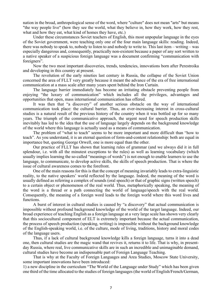nation in the broad, anthropological sense of the word, where "culture" does not mean "arts" but means "the way people live" (how they see the world, what they believe in, how they work, how they rest, what and how they eat, what kind of homes they have, etc.)

Under these circumstances Soviet teachers of English, this most unpopular language in the eyes of the Soviet government, were teaching only one of the four main language skills: reading. Indeed, there was nobody to speak to, nobody to listen to and nobody to write to. This last item – writing – was especially dangerous and, consequently, practically non-existent because a paper of any sort written to a native speaker of a suspicious foreign language was a document confirming "communication with foreigners".

Now the two most important discoveries, trends, tendencies, innovations born after Perestroika and developing in this country at present.

The revolution of the early nineties last century in Russia, the collapse of the Soviet Union concerned the area of FLLT very greatly because it meant the advance of the era of free international communication at a mass scale after many years spent behind the Iron Curtain.

The language barrier immediately has become an irritating obstacle preventing people from enjoying "the luxury of communication" which includes all the privileges, advantages and opportunities that open, mass international communication has offered.

It was then that "a discovery" of another serious obstacle on the way of international communication took place: the cultural barrier. Thus, an ever-increasing interest in cross-cultural studies is a natural result of the previous history of the country when it was bottled up for so many years. The triumph of the communicative approach, the urgent need for speech production skills inevitably has led to the idea that the use of language largely depends on the background knowledge of the world where this language is actually used as a means of communication.

The problem of "what to teach" seems to be more important and more difficult than "how to teach". As you understand, it is an eternal question of form-and-content relationship: both are equal in importance but, quoting George Orwell, one is more equal than the other.

Our practice of FLLT has shown that learning rules of grammar (and we always did it in full splendour, i.e. with all the minutest exceptions to the rules) as well as learning vocabulary (which usually implies learning the so-called "meanings of words") is not enough to enable learners to use the language, to communicate, to develop active skills, the skills of speech production. That is where the issue of cultural awareness comes to the forefront.

One of the main reasons for this is that the concept of meaning invariably leads to extra-linguistic reality, to the native speakers' world reflected by the language. Indeed, the meaning of the word is usually defined as referring a complex of sounds (oral speech) or that of graphic signs (written speech) to a certain object or phenomenon of the real world. Thus, metaphorically speaking, the meaning of the word is a thread or a path connecting the world of language/speech with the real world. Consequently, the meaning of a foreign word leads to the foreign world where this word lives and functions.

A burst of interest in cultural studies is caused by "a discovery" that actual communication is impossible without profound background knowledge of the world of the target language. Indeed, our broad experience of teaching English as a foreign language at a very large scale has shown very clearly that this sociocultural component of ELT is extremely important because the actual communication, the process of speech production (speaking, writing) is impossible without the background knowledge of the English-speaking world, i.e. of the culture, mode of living, traditions, history and moral codes of the language users.

Thus, if a lack of cultural background knowledge kills a foreign language, turns it into a dead one, then cultural studies are the magic wand that revives it, returns it to life. That is why, in presentday Russia, where real, live communicative skills are in such an incredible and unimaginable demand, cultural studies have become an indispensable part of Foreign Language Teaching.

That is why at the Faculty of Foreign Languages and Area Studies, Moscow State University, some important innovations have been introduced:

1) a new discipline in the curriculum "The World of the Language under Study" which has been given one third of the time allocated to the studies of foreign languages (the world of English/French/German,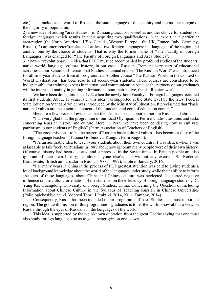etc.). This includes the world of Russian, the state language of this country and the mother tongue of the majority of population;

2) a new idea of adding "area studies" (in Russian *регионоведение*) as another choice for students of foreign languages which results in their acquiring two qualifications 1) an expert in a particular area/region (the North America – USA, Canada, Western Europe – the UK, France, Italy, Germany, Russia), 2) an interpreter/translator of at least two foreign languages: the language of the region and another one by the choice of students. That is why the former name of "The Faculty of Foreign Languages" was changed for "The Faculty of Foreign Languages and Area Studies";

3) a new – "revolutionary"! – idea that FLLT must be accompanied by profound studies of the students' native world, language, culture, history, in our case – Russian. From the very start of educational activities at our School of International Studies an annual course "The Russian World" was introduced for all first-year students from all programmes. Another course "The Russian World in the Context of World Civilizations" has been read to all second-year students. These courses are considered to be indispensable for training experts in international communication because the partners of our graduates will be interested mainly in getting information about their native, that is, Russian world.

We have been doing this since 1992 when the newly-born Faculty of Foreign Languages recruited its first students. About 15 years later this idea was supported at the State level by the latest Federal State Education Standard which was introduced by the Ministry of Education. It proclaimed that "basic national values are the essential element of the fundamental core of education content".

Here are a few pieces of evidence that the idea has been supported both in Russia and abroad.

"I am very glad that the programme of our local Olympiad in Perm includes questions and tasks concerning Russian history and culture. Here, in Perm we have been pondering how to cultivate patriotism in our students of English" (Perm Association of Teachers of English).

"The good mission – to be the bearer of Russian basic cultural values – has become a duty of the foreign language teacher" (Tatiana Gorbunova, Kungur, Perm Region).

"It's an admirable idea to teach your students about their own country. I was struck when I was at last able to talk freely to Russians in 1988 about how ignorant many people were of their own history. Of course, history had been distorted and suppressed in the Soviet times. In Britain people are also ignorant of their own history, let alone anyone else's; and without any excuse", Sir Roderick Braithwaite, British ambassador in Russia (1988 – 1992), wrote in January, 2016.

"For many years in China in the process of FLT greatest attention was paid to giving students a lot of background knowledge about the world of the languages under study while their ability to inform speakers of these languages, about China and Chinese culture was neglected. It exerted negative influence on the cultural orientation of the students, on the efficiency of foreign language studies", Dr. Yang Ke, Guangdong University of Foreign Studies, China. Concerning the Question of Including Information about Chinese Culture in the Syllabus of Teaching Russian in Chinese Universities (Philologicheskiye nauki. Voprosi Teorii I Praktiki. 2014, №11. Tambov, 2014).

Consequently, Russia has been included in our programme of Area Studies as a most important region. The goodwill mission of this programme's graduates is to let the world know about a view on Russia through the eyes of Russians in the languages of the world.

This idea is supported by the well-known quotation from the great Goethe saying that one must also study foreign languages so as to get a better grip on one's own.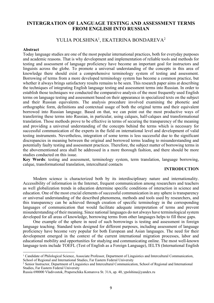#### **INTERGRATION OF LANGUAGE TESTING AND ASSESSMENT TERMS FROM ENGLISH INTO RUSSIAN**

#### YULIA POLSHINA<sup>1</sup>, EKATERINA BONDAREVA<sup>2</sup>

#### **Abstract**

l

Today language studies are one of the most popular international practices, both for everyday purposes and academic reasons. That is why development and implementation of reliable tools and methods for testing and assessment of language proficiency have become an important goal for instructors and linguists across the globe. To promote a universal understanding of the concepts in this area of knowledge there should exist a comprehensive terminology system of testing and assessment. Borrowing of terms from a more developed terminology system has become a common practice, but whether it always brings satisfactory results remains to be seen. This research paper aims at describing the techniques of integrating English language testing and assessment terms into Russian. In order to establish those techniques we conducted the comparative analysis of the most frequently used English terms on language testing and assessment based on their appearance in specialized texts on the subject and their Russian equivalents. The analysis procedure involved examining the phonetic and orthographic form, definitions and contextual usage of both the original terms and their equivalent borrowed into Russian language. Based on that, we can point out the most productive ways of transferring these terms into Russian, in particular, using calques, half-calques and transformational translation. Those methods prove to be effective in terms of securing the transparency of the meaning and providing a universal understanding of the concepts behind the terms which is necessary for successful communication of the experts in the field on international level and development of valid testing instruments. Nevertheless, integration of some terms is less successful due to the significant discrepancies in meaning between the original and borrowed terms leading to misunderstanding and potentially faulty testing and assessment practices. Therefore, the subject matter of borrowing terms in the abovementioned area shall be addressed in a more thorough fashion, and there should be more studies conducted on this issue.

**Key Words**: testing and assessment, terminology system, term translation, language borrowing, calque, transformational translation, intercultural contacts

#### **INTRODUCTION**

Modern science is characterized both by its interdisciplinary nature and internationality. Accessibility of information in the Internet, frequent communication among researchers and teachers as well globalization trends in education determine specific conditions of interaction in science and education. One of the most crucial elements of successful communication in any sphere is transparency or universal understanding of the described phenomena, methods and tools used by researchers, and this transparency can be achieved through creation of specific terminology in the corresponding languages of communication that would facilitate adequate interpretation of terms and prevent misunderstanding of their meaning. Since national languages do not always have terminological system developed for all areas of knowledge, borrowing terms from other languages helps to fill these gaps.

One example of the sphere in need of such borrowings is testing and assessment in foreign language teaching. Standard tests designed for different purposes, including assessment of language proficiency have become very popular for both European and Asian languages. The need for their development emerged in the context of the current international migration processes, labor and educational mobility and opportunities for studying and communicating online. The most well-known language tests include TOEFL (Test of English as a Foreign Language), IELTS (International English

<sup>1</sup> Candidate of Philological Science, Associate Professor, Department of Linguistics and Intercultural Communication, School of Regional and International Studies, Far Eastern Federal University

<sup>2</sup> Senior Instructor, Department of Linguistics and Intercultural Communication, School of Regional and International Studies, Far Eastern Federal University

Russia 690000 Vladivostok, Praporschika Komarova St. 31A, ap. 40, ypolshina@yandex.ru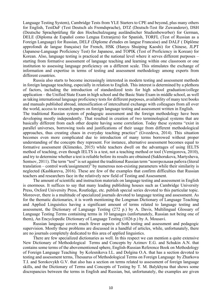Language Testing System), Cambridge Tests from YLE Starters to CPE and beyond, plus many others for English, TestDaF (Test Deutsch als Fremdsprache), DTZ (Deutsch-Test für Zuwanderer), DSH (Deutsche Sprachprüfung für den Hochschulzugang ausländischer Studienbewerber) for German, DELE (Diploma de Español como Lengua Extranjera) for Spanish, TORFL (Test of Russian as a Foreign Language) for Russian, DELF (Diplome d'еtudes en langue Franсaise) and DALF ( Diplôme approfondi de langue française) for French, HSK (Hanyu Shuiping Kaoshi) for Chinese, JLPT (Japanese-Language Proficiency Test) for Japanese, and TOPIK (Test of Proficiency in Korean) for Korean. Also, language testing is practiced at the national level where it serves different purposes – starting from formative assessment of language teaching and learning within one classroom or one institution to assessing language proficiency on a different scale. This stimulates the exchange of information and expertise in terms of testing and assessment methodology among experts from different countries.

Russia also starts to become increasingly interested in modern testing and assessment methods in foreign language teaching, especially in relation to English. This interest is determined by a plethora of factors, including the introduction of standardized tests for high school graduation/college application – the Unified State Exam in high school and the Basic State Exam in middle school, as well as taking international language proficiency tests for different purposes, availability of many text books and manuals published abroad, intensification of intercultural exchange with colleagues from all over the world, access to research papers on foreign language testing and assessment written in English.

The traditional Russian system of pedagogic assessment and the foreign methodology have been developing mostly independently. That resulted in creation of two terminological systems that are basically different from each other despite having some correlation. Today these systems "exist in parallel universes, borrowing tools and justifications of their usage from different methodological approaches, thus creating chaos in everyday teaching practice" (Gvozdeva, 2014). This situation becomes even more complicated due to introduction of many terms borrowed without proper understanding of the concepts they represent. For instance, alternative assessment becomes equal to formative assessment (Klimenko, 2015) while teachers dwell on the advantages of using IELTS method of teaching, even though IELTS is a test, not a teaching method or tool (Vernigorova, 2010), and try to determine whether a test is reliable before its results are obtained (Sukhorukova, Martysheva, Sentsov, 2011). The term "test" is set against the traditional Russian term "контрольная работа (literal translation – control work/assignment)" by numerous non-existing parameters while their similarity is neglected (Kashkareva, 2016). These are few of the examples that confirm difficulties that Russian teachers and researchers face in the relatively new field of Testing and Assessment.

The amount of scientific and instruction materials on language testing and assessment in English is enormous. It suffices to say that many leading publishing houses such as Cambridge University Press, Oxford University Press, Routledge, etc. publish special series devoted to this particular topic. Moreover, there is a multitude of specialized journals devoted to language testing and assessment. As for the thematic dictionaries, it is worth mentioning the Longman Dictionary of Language Teaching and Applied Linguistics having a significant amount of terms related to language testing and assessment, the Dictionary of Language Testing (272 p.) by A. Davis, Multilingual Glossary of Language Testing Terms containing terms in 10 languages (unfortunately, Russian not being one of them), An Encyclopedic Dictionary of Language Testing (1026 p.) by А. Mousavi.

Russian language covers much fewer aspects of both testing and assessment and pedagogic supervision. Mostly these problems are discussed in a handful of articles, while, unfortunately, there are no journals completely dedicated to this area of applied linguistics.

There are few specialized dictionaries as well. In this respect we can mention a quite extensive New Dictionary of Methodological Terms and Concepts by Azimov E.G. and Schukin A.N. that contains some terms of the abovementioned sphere, English-Russian Reference Book on Methodology of Foreign Language Teaching by Kolesnikova I.L. and Dolgina O.A. that has a section devoted to testing and assessment terms, Thesaurus of Methodological Terms on Foreign Language by Zharkova T.I. and Sorokovykh G.V. that also has a section on terms related to assessment of foreign language skills, and the Dictionary of Terms and Concepts of Testing by T. M. Balykhyna that shows some discrepancies between the terms in English and Russian, but, unfortunately, the examples are given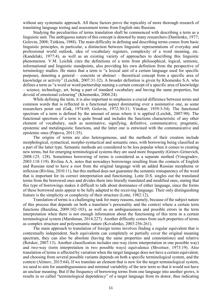without any systematic approach. All these factors prove the topicality of more thorough research of translating language testing and assessment terms from English into Russian.

Studying the peculiarities of terms translation shall be commenced with describing a term as a linguistic unit. The ambiguous nature of this concept is denoted by many researchers (Danilenko, 1977; Golovin, 2008; Tsitkina, 1988). The main difficulty in defining and describing terms comes from basic linguistic principles, in particular, a distinction between linguistic representations of everyday and professional world outlook, idea of vocabulary registers, complexity of a word meaning, etc. (Kandelaki, 1977:4), as well as an existing variety of approaches to describing this linguistic phenomenon. V.M. Leichik cites the definitions of a term from philosophical, logical, semiotic, informational and linguistic standpoints, also providing his own definition from the perspective of terminology studies. He states that a term is "a lexical unit of a certain language used for specific purposes, denoting a general – concrete or abstract – theoretical concept from a specific area of knowledge or activity" (Leichik, 2007:31-32). A broader definition is given by Khomenko S.A. who defines a term as "a word or word partnership naming a certain concept of a specific area of knowledge – science, technology, art, being a part of standard vocabulary and having the same properties, but devoid of emotional colouring" (Khomenko, 2004:24).

While defining the term, it is also important to emphasize a crucial difference between terms and common words that is reflected in a functional aspect dominating over a nominative one, as some researchers point out (Gak, 1974:69; Golovin, 1972:30-31; Vinokur, 1939:3-54). The functional spectrum of a term is defined by the amount of areas where it is applied (Leichik, 2007:90). The functional spectrum of a term is quite broad and includes the functions characteristic of any other element of vocabulary, such as nominative, signifying, definitive, communicative, pragmatic, epistemic and metalinguistic functions, and the latter one is entwined with the communicative and epistemic ones (Popova, 2011:35).

The origins of terms are also heterogeneous, and the methods of their creation include morphological, syntactical, morpho-syntactical and semantic ones, with borrowing being classified as a part of the latter type. Semantic methods are considered to be less popular when it comes to creating new terms, but for emerging terminological systems they are used more frequently (Grinev-Grinevich, 2008:125, 128). Sometimes borrowing of terms is considered as a separate method (Vinogradov, 2003:118-119). Rivlina A.A. notes that nowadays borrowings resulting from the contacts of English and Russian tend to have a root from the original language with an added Russian morpheme or inflexion (Rivlina, 2010:11), but this method does not guarantee the semantic transparency of the word that is important for its correct interpretation and functioning. Lotte D.S. singles out the translated terms from the borrowed ones and divides them into literally translated and modified ones, stating that this type of borrowings makes it difficult to talk about dominance of either language, since the forms of these borrowed units appear to be fully adapted to the receiving language. Their only distinguishing feature is the simplicity or complexity of their structure (Lotte, 1982:12).

Translation of terms is a challenging task for many reasons, namely, because of the subject nature of this process that depends on both a translator's personality and the context where a certain term functions (Bazalina, 2009:102-103), as well as on ambiguousness and possible errors in the term interpretation when there is not enough information about the functioning of this term in a certain terminological system (Marshman, 2014:227). Another difficulty comes from such properties of terms as complex structure and polysemantic nature (Kovalenko, 2003:256-261).

The main approach to translation of foreign terms involves finding a regular equivalent that is contextually independent. Such equivalents can completely or partially cover the original meaning spectrum, they can also be absolute (having the same properties and connotations) and relative (Retsker, 2007:13). Another classification includes one-way (term interpretation in one possible way) and two-way (term interpretation in two possible ways) equivalence (Shveitser, 1973:19). Also translation of terms is affected by variation when the target language does not have a certain equivalent, and choosing from several possible variants depends on both a specific terminological system, and the context (Alimov, 2015:64). If we translate an element that is new for the target terminological system, we need to aim for unambiguousness and minimal variability of the new term so that it would not have an unclear meaning. But if the frequency of borrowing terms from one language into another grows, it results in so called "terminological dependency" of a target language from its donor, thus indicating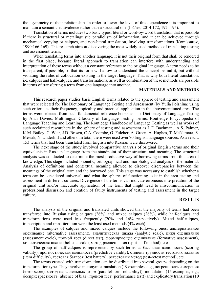the asymmetry of their relationship. In order to lower the level of this dependence it is important to maintain a semantic equivalence rather than a structural one (Ibáñez, 2014:172, 192 -195).

Translation of terms includes two basic types: literal or word-by-word translation that is possible if there is structural or metalinguistic parallelism of information, and it can be achieved through mechanical copying or calques, and non-literal translation, involving transformations (Komissarov, 1990:166-169). This research aims at discovering the most widely-used methods of translating testing and assessment terms.

When translating terms into another language, it is not their original form that shall be rendered in the first place, because literal approach to translation can interfere with understanding and interpretation of these terms without a constant reference to the original language. A term needs to be transparent, if possible, so that its form will allow to understand the concept behind it, but without violating the rules of collocation existing in the target language. That is why both literal translation, i.e. calques and half-calques, and transformations, as well as combination of these methods are possible in terms of transferring a term from one language into another.

#### **MATERIALS AND METHODS**

This research paper studies basic English terms related to the sphere of testing and assessment that were selected for The Dictionary of Language Testing and Assessment (by Yulia Polshina) using such criteria as their frequency, topicality and practical application in the abovementioned area. The terms were selected from such fundamental reference books as The Dictionary of Language Testing by Alan Davies, Multilingual Glossary of Language Testing Terms, Routledge Encyclopedia of Language Teaching and Learning, The Routledge Handbook of Language Testing as well as works of such acclaimed researchers in the sphere of testing and assessment as L.F. Bachman, A.S. Palmer, K.M. Bailey, C. Weir, J.D. Brown, C.A. Coombe, G. Fulcher, A. Green, A. Hughes, T. McNamara, S. Messik, N. Underhill and others. In total, there were used over 70 English language sources. As a result, 153 terms that had been translated from English into Russian were discovered.

The next stage of the study involved comparative analysis of original English terms and their equivalents in Russian language from the standpoint of their structure and meaning. The structural analysis was conducted to determine the most productive way of borrowing terms from this area of knowledge. This stage included phonetic, orthographical and morphological analysis of the material. Analysis of definitions and contextual meaning allowed to discover discrepancies between the meanings of the original term and the borrowed one. This stage was necessary to establish whether a term can be considered universal, and what the spheres of functioning exist in the area testing and assessment in different cultures. Divergence of the terms can indicate erroneous interpretation of the original unit and/or inaccurate application of the term that might lead to miscommunication in professional discussion and creation of faulty instruments of testing and assessment in the target culture.

#### **RESULTS**

The analysis of the original and translated units showed that the majority of terms had been transferred into Russian using calques (26%) and mixed calques (26%), while half-calques and transformations were used less frequently (20% and 16% respectively). Mixed half-calques, transcription and transliteration were the least used methods (4% each).

The examples of calques and mixed calques include the following ones: альтернативное оценивание (alternative assessment), аналитическая шкала (analytic scale), цикл оценивания (assessment cycle), прямой тест (direct test), формирующее оценивание (formative assessment), холистическая шкала (holistic scale), метод расщепления (split-half method), etc.

The group of half-calques is represented by such terms as балльная валидность (scoring validity), прогностическая валидность (predictive validity), степень трудности тестового задания (item difficulty), тестовая батарея (test battery), ретестовый метод (test-retest method), etc.

The terms created with transformation can be distributed into several groups depending on the transformation type. They involve metonymic translation (19 examples, e.g., погрешность измерения (error score), метод параллельных форм (parallel form reliability)), modulation (15 examples, e.g., беспристрастность (absence of bias), прямой тест (performance test)) and explicatory translation (10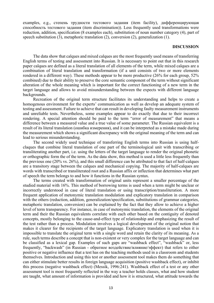examples, e.g., степень трудности тестового задания (item facility), дифференцирующая способность тестового задания (item discrimination)). Less frequently used transformations were reduction, addition, specification (8 examples each), substitution of noun number category (4), part of speech substitution (3), metaphoric translation (2), conversion (2), generalization (1).

#### **DISCUSSION**

The data show that calques and mixed calques are the most frequently used means of transferring English terms of testing and assessment into Russian. It is necessary to point out that in this research paper calques are defined as a literal translation of all elements of the term, while mixed calques are a combination of literal translation and transformation (if a unit consists of two or more elements rendered in a different way). These methods appear to be more productive (26% for each group, 52% combined) due to their ability to preserve the core semantic component of the term without significant alteration of the whole meaning which is important for the correct functioning of a new term in the target language and allows to avoid misunderstanding between the expects with different language backgrounds.

Recreation of the original term structure facilitates its understanding and helps to create a homogenous environment for the experts' communication as well as develop an adequate system of testing and assessment. Failure to achieve that can result in developing faulty measurement instruments and unreliable tests. Nevertheless, some examples appear to do exactly that due to their incorrect rendering. A special attention should be paid to the term "error of measurement" that means a difference between a measured value and a true value of some parameter. The Russian equivalent is a result of its literal translation (ошибка измерения), and it can be interpreted as a mistake made during the measurement which shows a significant discrepancy with the original meaning of the term and can lead to serious misunderstanding.

The second widely used technique of transferring English terms into Russian is using halfclaques that combine literal translation of one part of the terminological unit with transcribing or transliterating another part, i.e. using the letters of the target language to render the original phonetic or orthographic form the of the term. As the data show, this method is used a little less frequently than the previous one (20% vs. 26%), and this small difference can be attributed to that fact of half-calques are a transitory stage between the calques and mechanical copying. The majority of half-calques are words with transcribed or transliterated root and a Russian affix or inflection that determines what part of speech the term belongs to and how it functions in the Russian syntax.

The terms created with transformation of original units represent a smaller percentage of the studied material with 16%. This method of borrowing terms is used when a term might be unclear or incorrectly understood in case of literal translation or using transcription/transliteration. A more frequent application of metonymic translation modulation and explicatory translation in comparison with the others (reduction, addition, generalization/specification, substitutions of grammar categories, metaphoric translation, conversion) can be explained by the fact that they allow to achieve a higher level of term transparency. For instance, in case of metonymic translation, the elements of the original term and their the Russian equivalents correlate with each other based on the contiguity of denoted concepts, mostly belonging to the cause-and-effect type of relationship and emphasizing the result of the test rather than a process. Modulation involves a logical development of the original notion that makes it clearer for the recipients of the target language. Explicatory translation is used when it is impossible to translate the original term with a single word and retain the clarity of its meaning. As a rule, such terms describe a concept that is non-existent or very complex for the target language and can be classified as a lexical gap. Examples of such gaps are "washback effect", "washback" or, less frequently, "backwash" (in Russian - обратное воздействие/влияние/эффект) that refers to either positive or negative influence that a test has on the teaching methods used in a classroom and students themselves. Introduction and using this test or another assessment tool makes them do something that can either stimulate better results in foreign language acquisition (positive washback effect), or inhibit this process (negative washback effect) (Messik, 1996:241). Washback effect of a test or any other assessment tool is most frequently reflected in the way a teacher holds classes, what and how student are taught, what amount of information is provided and how it is structured, what attitude towards the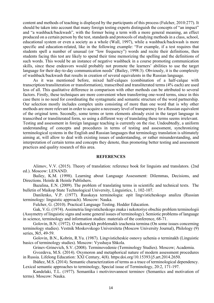content and methods of teaching is displayed by the participants of this process (Fulcher, 2010:277). It should be taken into account that many foreign testing experts distinguish the concepts of "an impact" and "a washback/backwash", with the former being a term with a more general meaning, an effect produced on a certain person by the test, standards and protocols of studying methods in a class, school, educational system or even a society as a whole (Wall, 1997), while a washback/backwash is more specific and education-related, like in the following example: "For example, if a test requires that students spell a number of unusual (or "low frequency") words and recite their definitions, then students facing this test are likely to spend their time memorizing the spelling and the definitions of such words. This would be an instance of negative washback in a course promoting communication skills, since these endeavors would probably not promote the learners' abilities to use the target language for their day-to-day communication needs" (Bailey, 1998:3). Obviously, it is the complexity of washback/backwash that results in creation of several equivalents in the Russian language.

As it was mentioned before, mixed half-calques (combination of a half-calque with transcription/transliteration or transformation), transcribed and transliterated terms (4% each) are used less of all. This qualitative difference in comparison with other methods can be attributed to several factors. Firstly, these techniques are more convenient when transferring one-word terms, since in this case there is no need for coordinating the syntagmatic and semantic structure of the word partnership. Our selection mostly includes complex units consisting of more than one word that is why other methods are more relevant in order to acquire a necessary level of transparency for a Russian equivalent of the original term. Secondly, some terms or term elements already exist in the target language in transcribed or transliterated form, so using a different way of translating these terms seems irrelevant. Testing and assessment in foreign language teaching is currently on the rise. Undoubtedly, a uniform understanding of concepts and procedures in terms of testing and assessment, synchronizing terminological systems in the English and Russian languages that terminology translation is ultimately aiming at, will allow to deal with existing issues of understanding, or rather misunderstanding, and interpretation of certain terms and concepts they denote, thus promoting better testing and assessment practices and quality research of this area.

#### **REFERENCES**

Alimov, V.V. (2015). Theory of translation: reference book for linguists and translators. (2nd ed.). Moscow: LENAND.

Bailey, K.M. (1998). Learning about Language Assessment: Dilemmas, Decisions, and Directions. Heinle & Heinle Publishers.

Bazalina, E.N. (2009). The problem of translating terms in scientific and technical texts. The bulletin of Maikop State Technological University, Linguistics, 1, 102-107.

Danilenko, V.P. (1977). Russkaya terminologia: opit lingvisticheskogo analiza (Russian terminology: linguistic approach). Moscow: Nauka.

Fulcher, G. (2010). Practical Language Testing. Hodder Education.

Gak, V.G. (1974). Assimetria lingvisticheskogo znaka i nekotoriye obschie problem terminologii (Assymetry of linguistic signs and some general issues of terminology). Semiotic problems of language in science, terminology and information studies: materials of the conference, 68-71.

Golovin, B.N. (1972). O nekotorykh problemakh izuchenia termina (On some issues concerning terminology studies). Vestnik Moskovskogo Universiteta (Moscow University Journal), Philology (9) series, №5, 49-59.

Golovin, B.N., Kobrin, R.Yu. (1987). Lingvisticheskie osnovy uchenia o terminakh (Linguistic basics of terminology studies). Moscow: Vysshaya Shkola.

Grinev-Grinevich, S.V. (2008). Terminovedenie (Terminology Studies). Moscow; Academia.

Gvozdeva, M.S. (2014). Oxymoron and metaphorical nature of modern assessment procedures in Russia. Lifelong Education: XXI Century, 4(8). https:doi.org/10.15393/j5.art.2014.2650.

Ibáñez, M.S. (2014). Semantic characterization of terms as a trace of terminological dependency. Lexical semantic approaches to terminology, Special issue of Terminology, 20:2, 171-197.

Kandelaki, T.L. (1977). Semantika i motivirovannost terminov (Semantics and motivation of terms). Moscow: Nauka.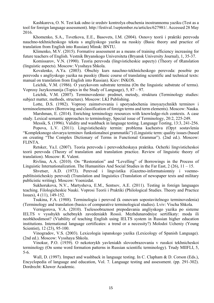Kashkareva, O. N. Test kak odno iz sredstv kontrolya obuchenia inostrannomu yaziku (Test as a tool for foreign language assessment). http://festival.1september.ru/articles/627981/. Accessed 28 May 2016.

Khomenko, S.A., Tsvetkova, E.E., Basovets, I.M. (2004). Osnovy teorii i praktiki perevoda nauchno-tekhnicheskogo teksta s angliyskogo yazika na russkiy (Basic theory and practice of translation from English into Russian) Minsk: BNTU.

Klimenko, M.V. (2015). Formative assessment as a means of training efficiency increasing for future teachers of English. Vestnik Bryanskogo Universiteta (Bryansk University Journal), 1, 35-37.

Komissarov, V.N. (1990). Teoria perevoda (lingvisticheskie aspecty) (Theory of tRanslation (linguistic aspects). Moscow: Vysshaya Shkola.

Kovalenko, A.Ya. (2003). Obschiy kurs nauchno-tekhnicheskogo perevoda: posobie po perevodu s angliyskogo yazika na pusskiy (Basic course of translating scientific and technical texts: manual on translation from English into Russian). Kiev: INKOS.

Leichik, V.M. (1986). O yazykovom substrate termina (On the linguistic substrate of terms). Voprosy Jazykoznanija (Topics in the Study of Language), 5, 87 – 97.

Leichik, V.M. (2007). Terminovedenie: predmet, metody, struktura (Terminology studies: subject matter, methods, structure). Moscow: LKI Publishing.

Lotte, D.S. (1982). Voprosy zaimstvovania i uporyadochenia imoyazychnikh terminov i terminoelementov (Borrowing and classification of foreign terms and term elements). Moscow: Nauka.

Marshman, E. (2014). Enriching terminology resources with knowledge-rich contexts. A case study. Lexical semantic approaches to terminology, Special issue of Terminology, 20:2, 225-249.

Messik, S. (1996). Validity and washback in language testing. Language Testing, 13:3, 241-256.

Popova, L.V. (2011). Lingvisticheskiy termin: problema kachestva (Opyt sostavlenia "Kompleksnogo slovarya terminov funkstionalnoi grammatiki") (Linguistic term: quality issues (based on creating "The Complex Dictionary of Terms in Functional Grammar"). (2nd ed.). Moscow: FLINTA.

Retsker, Ya.I. (2007). Teoria perevoda i perevodcheskaya praktika. Ocherki lingvisticheskoi teorii perevoda (Theory of translation and translation practice. Review of linguistic theory of translation). Moscow: R. Valent.

Rivlina, A.A. (2010). On "Restoration" and "Levelling" of Borrowings in the Process of Linguistic Internationalization. The Humanities And Social Studies in the Far East,  $2(26)$ ,  $11 - 15$ .

Shvetser, A.D. (1973). Perevod i lingvistika (Gazetno-informatsionniy i voennopublitsisticheskiy perevod) (Translation and linguistics (Translation of newspaper texts and military publicistic writing). Moscow: Voenizdat.

Sukhorukova, N.V., Martysheva, E.M., Sentsov, A.E. (2011). Testing in foreign languages teaching. Filologicheskie Nauki. Voprosi Teorii i Praktiki (Philological Studies. Theory and Practice Issues), 4 (11), 149-152.

Tsukina, F.A. (1988). Terminologia i perevod (k osnovam sopostavitelnogo terminovedenia) (Terminology and translation (basics of comparative terminological studies). Lviv: Vischa Shkola.

Vernigorova, V.A. (2010). Tselesoobraznost prepodavania angliyskogo yazika po sisteme IELTS v vysshykh uchebnykh zavedeniakh Rossii. Mezhdunarodniye sertifikaty: moda ili neobkhodimost? (Viability of teaching English using IELTS system in Russian higher education institutions. International language certificates: a trend or a necessity?) Molodoi Ucheniy (Young Scientist), 12 (23), 95-100.

Vinogradov, V.S. (2003). Lexicologia ispanskogo yazika (Lexicology of Spanish Language). (2nd ed.). Moscow: Vysshaya Shkola.

Vinokur, P.O. (1939). O nekotorykh yavleniakh slovoobrazovania v russkoi tekhnicheskoi terminology (On some word formation patterns in Russian scientific terminology). Trudy MIIFLI, 5, 5-6.

Wall, D. (1997). Impact and washback in language testing. In C. Clapham & D. Corson (Eds.), Encyclopedia of language and education, Vol. 7. Language testing and assessment. (pp. 291-302). Dordrecht: Kluwer Academic.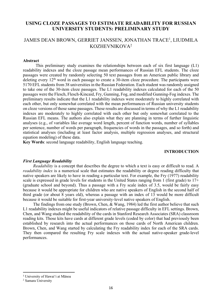#### **USING CLOZE PASSAGES TO ESTIMATE READABILITY FOR RUSSIAN UNIVERSITY STUDENTS: PRELIMINARY STUDY**

#### JAMES DEAN BROWN, GERRIET JANSSEN, JONATHAN TRACE<sup>1</sup>, LIUDMILA KOZHEVNIKOVA2

#### **Abstract**

This preliminary study examines the relationships between each of six first language (L1) readability indexes and the cloze passage mean performances of Russian EFL students. The cloze passages were created by randomly selecting 50 text passages from an American public library and deleting every  $12<sup>th</sup>$  word in each passage to create a 30-item cloze procedure. The participants were 5170 EFL students from 38 universities in the Russian Federation. Each student was randomly assigned to take one of the 30-item cloze passages. The L1 readability indexes calculated for each of the 50 passages were the Flesch, Flesch-Kincaid, Fry, Gunning, Fog, and modified Gunning-Fog indexes. The preliminary results indicate that the L1 readability indexes were moderately to highly correlated with each other, but only somewhat correlated with the mean performances of Russian university students on cloze versions of those same passages. These results are discussed in terms of why the L1 readability indexes are moderately to highly correlated with each other but only somewhat correlated to the Russian EFL means. The authors also explain what they are planning in terms of further linguistic analyses (e.g., of variables like average word length, percent of function words, number of syllables per sentence, number of words per paragraph, frequencies of words in the passages, and so forth) and statistical analyses (including at least factor analysis, multiple regression analyses, and structural equation modeling) of these data.

**Key Words**: second language readability, English language teaching.

#### **INTRODUCTION**

#### *First Language Readability*

*Readability* is a concept that describes the degree to which a text is easy or difficult to read. A *readability index* is a numerical scale that estimates the readability or degree reading difficulty that native speakers are likely to have in reading a particular text. For example, the Fry (1977) readability scale is expressed in grade levels for students in the United States ranging from 1 (first grade) to  $17<sup>+</sup>$ (graduate school and beyond). Thus a passage with a Fry scale index of 3.5, would be fairly easy because it would be appropriate for children who are native speakers of English in the second half of third grade (or about 8 years old), whereas a passage with an index of 13 would be more difficult because it would be suitable for first-year university-level native speakers of English.

The findings from one study (Brown, Chen, & Wang, 1984) led the first author believe that such L1 readability indexes might be useful indicators of relative passage difficulty in EFL settings. Brown, Chen, and Wang studied the readability of the cards in Stanford Research Associates (SRA) classroom reading kits. Those kits have cards at different grade levels (coded by color) that had previously been established by research into the actual performances on those cards of North American children. Brown, Chen, and Wang started by calculating the Fry readability index for each of the SRA cards. They then compared the resulting Fry scale indexes with the actual native-speaker grade-level performances.

 <sup>1</sup> University of Hawai'i at Mānoa

<sup>2</sup> Samara University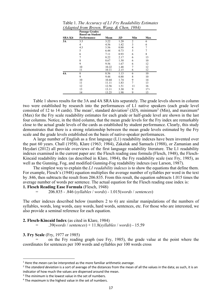|                | <b>Passage Grades</b><br><b>Based on Student</b> |       |      |                |       |
|----------------|--------------------------------------------------|-------|------|----------------|-------|
| <b>SRA Kit</b> | Performance                                      | Mean  | SD   | Min            | Max   |
| 3A             | 3.5                                              | 3.22  | 1.20 | $\overline{c}$ | 6     |
|                | 4                                                | 4.56  | 1.42 | 3              | 6     |
|                | 4.5                                              | 5.56  | 0.88 | 4              |       |
|                | 5                                                | 6.44  | 0.73 | 5              |       |
|                | 6                                                | 7.11  | 0.93 | 6              | 8     |
|                | 7                                                | 8.22  | 2.17 | 6              | 13    |
|                | 8                                                | 8.67  | 1.50 | 6              | 10    |
|                | 9                                                | 9.56  | 1.67 | 6              | 12    |
|                | 10                                               | 10.22 | 1.48 |                | 12    |
|                | 11                                               | 10.11 | 2.15 | 6              | 12    |
| 4A             | 8                                                | 8.56  | 1.13 | 6              | 10    |
|                | 9                                                | 9.44  | 0.88 | 8              | 10    |
|                | 10                                               | 10.44 | 1.74 | 9              | 14    |
|                | 11                                               | 11.11 | 1.83 | 7              | 13    |
|                | 12                                               | 12.56 | 1.51 | 11             | 16    |
|                | 13                                               | 13.11 | 3.30 | 9              | $17+$ |
|                | 14                                               | 13.25 | 1.98 | 9              | 15    |

Table 1. *The Accuracy of L1 Fry Readability Estimates (Adapted from Brown, Wang, & Chen, 1984)*

Table 1 shows results for the 3A and 4A SRA kits separately. The grade levels shown in column two were established by research into the performances of L1 native speakers (each grade level consisted of 12 to 14 cards). The mean<sup>1</sup>, standard deviation<sup>2</sup> (SD), minimum<sup>3</sup> (Min), and maximum<sup>4</sup> (Max) for the Fry scale readability estimates for each grade or half-grade level are shown in the last four columns. Notice, in the third column, that the mean grade levels for the Fry index are remarkably close to the actual grade levels of the cards as established by student performance. Clearly, this study demonstrates that there is a strong relationship between the mean grade levels estimated by the Fry scale and the grade levels established on the basis of native-speaker performances.

A large number of English as a first language (L1) readability indexes have been invented over the past 60 years. Chall (1958), Klare (1963; 1984), Zakaluk and Samuels (1988), or Zamanian and Heydari (2012) all provide overviews of the first language readability literature. The L1 readability indexes examined in the current paper are: the Flesch reading ease formula (Flesch, 1948), the Flesch-Kincaid readability index (as described in Klare, 1984), the Fry readability scale (see Fry, 1985), as well as the Gunning, Fog, and modified Gunning-Fog readability indexes (see Larson, 1987).

The simplest way to explain the *L1 readability indexes* is to show the equations that define them. For example, Flesch's (1948) equation multiplies the average number of syllables per word in the text by .846, then subtracts the result from 206.835. From this result, the equation subtracts 1.015 times the average number of words per sentence. The actual equation for the Flesch reading ease index is:

**1. Flesch Reading Ease Formula** (Flesch, 1948)

= 206.835 - .846 (*syllables* / *words*) - 1.015(*words* / *sentences*)

The other indexes described below (numbers 2 to 6) are similar manipulations of the numbers of syllables, words, long words, easy words, hard words, sentences, etc. For those who are interested, we also provide a seminal reference for each equation.

**2. Flesch-Kincaid Index** (as cited in Klare, 1984)

= .39(*words* / *sentences*) + 11.8(*syllables* / *words*) - 15.59

#### **3. Fry Scale** (Fry, 1977 or 1985)

on the Fry reading graph (see Fry, 1985), the grade value at the point where the coordinates for sentences per 100 words and syllables per 100 words cross

<sup>&</sup>lt;sup>1</sup> Here the *mean* can be interpreted as the more familiar arithmetic *average*.<br><sup>2</sup> The *standard deviation* is a sort of average of the distances from the mean of all the values in the data; as such, it is an indicator of how much the values are dispersed around the mean.<br> $3$  The *minimum* is the lowest value in the set of numbers.

<sup>&</sup>lt;sup>4</sup> The *maximum* is the highest value in the set of numbers.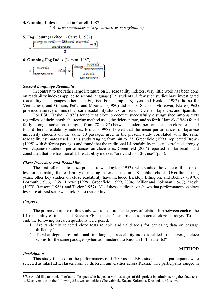#### **4. Gunning Index** (as cited in Carrell, 1987)

= .40(*words / sentences* + *% of words over two syllables*)

**5. Fog Count** (as cited in Carrell, 1987)  $\cos y$  words  $+3$ (hard words) sentences



#### *Second Language Readability*

In contrast to the rather large literature on L1 readability indexes, very little work has been done on readability indexes applied to second language (L2) students. A few such studies have investigated readability in languages other than English. For example, Nguyen and Henkin (1982) did so for Vietnamese, and Gilliam, Peña, and Mountain (1980) did so for Spanish. Moreover, Klare (1963) provided a survey of nine other early readability studies for French, German, Japanese, and Spanish.

For ESL, Haskell (1973) found that cloze procedure successfully distinguished among texts regardless of their length, the scoring method used, the deletion rate, and so forth. Hamsik (1984) found fairly strong associations (ranging from .78 to .82) between student performances on cloze tests and four different readability indexes. Brown (1998) showed that the mean performances of Japanese university students on the same 50 passages used in the present study correlated with the same readability estimates used in this study ranging from .48 to .55. Greenfield (1999) replicated Brown (1998) with different passages and found that the traditional L1 readability indexes correlated strongly with Japanese students' performances on cloze tests. Greenfield (2004) reported similar results and concluded that the traditional L1 readability indexes "are valid for EFL use" (p. 5).

#### *Cloze Procedure and Readability*

The first reference to cloze procedure was Taylor (1953), who studied the value of this sort of test for estimating the readability of reading materials used in U.S. public schools. Over the ensuing years, other key studies on cloze readability have included Bickley, Ellington, and Bickley (1970), Bormuth (1966, 1968), Brown (1998), Greenfield (1999, 2004), Miller and Coleman (1967), Moyle (1970), Ransom (1968), and Taylor (1957). All of these studies have shown that performances on cloze tests are at least somewhat related to readability.

#### *Purpose*

The primary purpose of this study was to explore the degrees of relationship between each of the L1 readability estimates and Russian EFL students' performances on actual cloze passages. To that end, the following research questions were posed:

- 1. Are randomly selected cloze tests reliable and valid tools for gathering data on passage difficulty?
- 2. To what degree are traditional first language readability indexes related to the average cloze scores for the same passages (when administered to Russian EFL students)?

#### **METHOD**

#### *Participants*

 $\overline{a}$ 

This study focused on the performances of 5170 Russian EFL students. The participants were selected as intact EFL classes from 38 different universities across Russia.<sup>1</sup> The participants ranged in

<sup>&</sup>lt;sup>1</sup> We would like to thank all of our colleagues who helped at various stages of this project by administering the cloze tests at 38 universities in the following 25 towns and cities: Chelyabinsk, Kazan, Kolomna, Krasnodar, Moscow,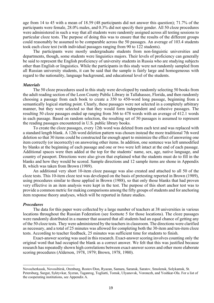age from 14 to 45 with a mean of 18.59 (48 participants did not answer this question); 71.7% of the participants were female, 28.0% males, and 0.3% did not specify their gender. All 50 cloze procedures were administered in such a way that all students were randomly assigned across all testing sessions to particular cloze tests. The purpose of doing this was to ensure that the results of the different groups could reasonably be assumed to be comparable across the 50 passages. An average of 103.4 students took each cloze test (with individual passages ranging from 90 to 122 students).

The participants were mostly undergraduate students from non-linguistic universities and departments, though, some students were linguistics majors. Their levels of proficiency can generally be said to represent the English proficiency of university students in Russia who are studying subjects other than English or linguistics. While the participants in this study were not randomly sampled from all Russian university students, it can be said that the sample is fairly large and homogeneous with regard to the nationality, language background, and educational level of the students.

#### *Materials*

The 50 cloze procedures used in this study were developed by randomly selecting 50 books from the adult reading section of the Leon County Public Library in Tallahassee, Florida, and then randomly choosing a passage from each book to create a 350 to 450-word long passage, beginning from a semantically logical starting point. Clearly, these passages were not selected in a completely arbitrary manner, but they were selected so that they would form independent and cohesive passages. The resulting 50 cloze passages ended up ranging from 366 to 478 words with an average of 412.1 words in each passage. Based on random selection, the resulting set of 50 passages is assumed to represent the reading passages encountered in U.S. public library books.

To create the cloze passages, every 12th word was deleted from each text and was replaced with a standard length blank. A 12th word deletion pattern was chosen instead the more traditional 7th word deletion so that 30 items could be constructed far enough apart to minimize the effect of answering one item correctly (or incorrectly) on answering other items. In addition, one sentence was left unmodified by blanks at the beginning of each passage and one or two were left intact at the end of each passage. Additional spaces were then added at the top for the students' name, sex, age, native language, and country of passport. Directions were also given that explained what the students must do to fill in the blanks and how they would be scored. Sample directions and 12 sample items are shone in Appendix B, which was taken from Brown (1989).

An additional very short 10-item cloze passage was also created and attached to all 50 of the cloze tests. This 10-item cloze test was developed on the basis of pretesting reported in Brown (1989), using procedures similar to those applied in Brown (1988), so that only those blanks that had proven very effective in an item analysis were kept in the test. The purpose of this short anchor test was to provide a common metric for making comparisons among the fifty groups of students and for anchoring item response theory analyses, which will be reported in future studies.

#### *Procedures*

l

The data for this paper were collected by a large number of teachers at 38 universities in various locations throughout the Russian Federation (see footnote 5 for those locations). The cloze passages were randomly distributed in a manner that assured that all students had an equal chance of getting any of the 50 cloze tests. They were administered by the teachers in classroom. The directions were clarified as necessary, and a total of 25 minutes was allowed for completing both the 30-item and ten-item cloze tests. According to teacher feedback, 25 minutes was sufficient time for students to finish.

Exact-answer scoring was used in this research. Exact-answer scoring involves counting only the original word that had occupied the blank as a correct answer. We felt that this was justified because research has repeatedly shown high correlations between exact-answer scores and other more elaborate scoring procedures (Alderson, 1978, 1979; Brown, 1978, 1980).

Novocherkassk, Novosibirsk, Orenburg, Rostov/Don, Ryazan, Samara, Saransk, Saratov, Smolensk, Solykamsk, St. Petersburg, Surgut, Syktyvkar, Syzran, Taganrog, Togliatti, Tomsk, Ulyanovsk, Voronezh, and Yoshkar-Ola. For a list of the cooperating institutions, see Appendix A.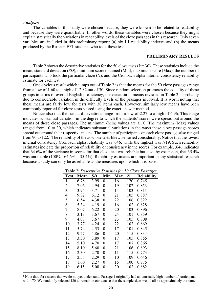#### *Analyses*

 $\overline{a}$ 

The variables in this study were chosen because, they were known to be related to readability and because they were quantifiable. In other words, these variables were chosen because they might explain statistically the variations in readability levels of the cloze passages in this research. Only seven variables are included in this preliminary report: (a) six L1 readability indexes and (b) the means produced by the Russian EFL students who took these tests.

#### **PRELIMINARY RESULTS**

Table 2 shows the descriptive statistics for the 50 cloze tests  $(k = 30)$ . These statistics include the mean, standard deviation (*SD*), minimum score obtained (Min), maximum score (Max), the number of participants who took the particular cloze (*N*), and the Cronbach alpha internal consistency reliability estimate for each test.

One obvious result which jumps out of Table 2 is that the means for the 50 cloze passages range from a low of 1.60 to a high of 12.82 out of 30. Since random selection promotes the equality of these groups in terms of overall English proficiency, the variation in means revealed in Table 2 is probably due to considerable variation in the difficulty levels of the passages involved. It is worth noting that these means are fairly low for tests with 30 items each. However, similarly low means have been commonly reported for cloze tests scored using the exact-answer method.

Notice also that the standard deviations range from a low of 2.27 to a high of 6.96. This range indicates substantial variation in the degree to which the students' scores were spread out around the means of these cloze passages. The minimum (Min) values are all 0. The maximum (Max) values ranged from 10 to 30, which indicates substantial variations in the ways these cloze passage scores spread out around their respective means. The number of participants on each cloze passage also ranged from 90 to 122.1 The reliability of the 50 cloze tests likewise varied considerably. Notice that the lowest internal consistency Cronbach alpha reliability was .646, while the highest was .919. Such reliability estimates indicate the proportion of reliability or consistency in the scores. For example, .646 indicates that 64.6% of the variance in scores for that cloze test was reliable but also, by extension, that 35.4% was unreliable (100% - 64.6% = 35.4%). Reliability estimates are important in any statistical research because a study can only be as reliable as the measures upon which it is based.

| <b>Test</b>    | Mean | SD   | Min              | <b>Max</b> | $\bm{N}$ | $\cdots$<br><b>Reliability</b> |
|----------------|------|------|------------------|------------|----------|--------------------------------|
| 1              | 6.78 | 3.99 | 0                | 16         | 120      | 0.745                          |
| 2              | 7.06 | 4.94 | 0                | 19         | 102      | 0.853                          |
| 3              | 3.94 | 3.71 | 0                | 14         | 103      | 0.811                          |
| $\overline{4}$ | 9.82 | 6.12 | 0                | 21         | 105      | 0.887                          |
| 5              | 6.54 | 4.38 | 0                | 22         | 106      | 0.822                          |
| 6              | 5.34 | 4.19 | $\boldsymbol{0}$ | 16         | 102      | 0.828                          |
| $\overline{7}$ | 8.07 | 6.22 | $\boldsymbol{0}$ | 20         | 103      | 0.896                          |
| 8              | 3.13 | 3.67 | 0                | 24         | 101      | 0.859                          |
| 9              | 4.08 | 3.67 | $\boldsymbol{0}$ | 23         | 105      | 0.808                          |
| 10             | 3.77 | 4.24 | $\boldsymbol{0}$ | 22         | 102      | 0.869                          |
| 11             | 5.74 | 4.53 | 0                | 17         | 101      | 0.845                          |
| 12             | 9.27 | 4.86 | $\boldsymbol{0}$ | 20         | 115      | 0.834                          |
| 13             | 3.30 | 3.89 | $\boldsymbol{0}$ | 17         | 105      | 0.855                          |
| 14             | 5.10 | 4.70 | $\boldsymbol{0}$ | 17         | 107      | 0.866                          |
| 15             | 8.10 | 5.60 | $\boldsymbol{0}$ | 21         | 106      | 0.893                          |
| 16             | 2.30 | 2.70 | $\boldsymbol{0}$ | 11         | 115      | 0.773                          |
| 17             | 2.55 | 2.29 | $\boldsymbol{0}$ | 10         | 109      | 0.646                          |
| 18             | 1.60 | 2.27 | $\boldsymbol{0}$ | 15         | 100      | 0.775                          |
| 19             | 6.15 | 5.08 | 0                | 30         | 102      | 0.882                          |

Table 2: *Descriptive Statistics for 50 Cloze Passages*

<sup>&</sup>lt;sup>1</sup> Note that, for reasons that we do not yet understand, Passage 1 originally had an unusually high number of participants with 170. We randomly selected 120 to remain in our data so that the sample sizes would all be approximately the same.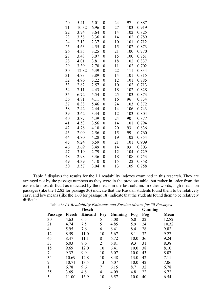| 20 | 5.41  | 5.01 | $\boldsymbol{0}$ | 24 | 97  | 0.887 |
|----|-------|------|------------------|----|-----|-------|
| 21 | 10.32 | 6.96 | $\boldsymbol{0}$ | 27 | 103 | 0.919 |
| 22 | 3.74  | 3.64 | $\overline{0}$   | 14 | 102 | 0.825 |
| 23 | 3.58  | 3.36 | $\overline{0}$   | 14 | 102 | 0.789 |
| 24 | 2.13  | 2.37 | $\overline{0}$   | 10 | 101 | 0.712 |
| 25 | 4.63  | 4.55 | $\overline{0}$   | 15 | 102 | 0.873 |
| 26 | 4.35  | 3.25 | $\overline{0}$   | 21 | 100 | 0.770 |
| 27 | 3.48  | 3.07 | $\overline{0}$   | 15 | 100 | 0.751 |
| 28 | 4.01  | 3.81 | $\boldsymbol{0}$ | 18 | 102 | 0.837 |
| 29 | 3.39  | 2.70 | $\boldsymbol{0}$ | 11 | 102 | 0.702 |
| 30 | 12.82 | 5.39 | $\overline{0}$   | 22 | 111 | 0.834 |
| 31 | 4.88  | 3.89 | $\overline{0}$   | 14 | 101 | 0.815 |
| 32 | 4.96  | 3.22 | $\overline{0}$   | 12 | 101 | 0.785 |
| 33 | 2.82  | 2.57 | $\overline{0}$   | 10 | 102 | 0.713 |
| 34 | 7.11  | 4.43 | $\overline{0}$   | 18 | 102 | 0.828 |
| 35 | 6.72  | 5.54 | $\overline{0}$   | 25 | 103 | 0.873 |
| 36 | 4.81  | 4.11 | $\boldsymbol{0}$ | 16 | 96  | 0.834 |
| 37 | 8.38  | 5.46 | $\boldsymbol{0}$ | 24 | 103 | 0.872 |
| 38 | 2.42  | 2.44 | $\overline{0}$   | 14 | 106 | 0.743 |
| 39 | 3.62  | 3.44 | $\overline{0}$   | 12 | 103 | 0.804 |
| 40 | 3.87  | 4.39 | $\overline{0}$   | 24 | 90  | 0.877 |
| 41 | 4.53  | 3.56 | $\overline{0}$   | 14 | 101 | 0.794 |
| 42 | 4.78  | 4.10 | $\overline{0}$   | 20 | 93  | 0.836 |
| 43 | 2.09  | 2.56 | $\boldsymbol{0}$ | 15 | 99  | 0.760 |
| 44 | 4.80  | 4.28 | $\boldsymbol{0}$ | 19 | 102 | 0.854 |
| 45 | 9.24  | 6.59 | $\overline{0}$   | 21 | 101 | 0.909 |
| 46 | 3.69  | 3.49 | $\boldsymbol{0}$ | 14 | 93  | 0.803 |
| 47 | 3.19  | 2.79 | $\overline{0}$   | 12 | 104 | 0.729 |
| 48 | 2.98  | 3.36 | $\boldsymbol{0}$ | 18 | 108 | 0.753 |
| 49 | 4.39  | 4.10 | $\boldsymbol{0}$ | 15 | 122 | 0.858 |
| 50 | 3.57  | 3.04 | $\overline{0}$   | 13 | 109 | 0.758 |

Table 3 displays the results for the L1 readability indexes examined in this research. They are arranged not by the passage numbers as they were in the previous table, but rather in order from the easiest to most difficult as indicated by the means in the last column. In other words, high means on passages (like the 12.82 for passage 30) indicate that the Russian students found them to be relatively easy, and low means (like the 1.60 for passage 18) indicate that the students found them to be relatively difficult.

|         |        |                |            |         |      | Tubic 3. Et Reagability Estimates and Rassian means for 30 I assages |       |
|---------|--------|----------------|------------|---------|------|----------------------------------------------------------------------|-------|
|         |        | <b>Flesch-</b> |            |         |      | Gunning-                                                             |       |
| Passage | Flesch | <b>Kincaid</b> | <b>Fry</b> | Gunning | Fog  | Fog                                                                  | Mean  |
| 30      | 4.63   | 6.5            | 5          | 5.08    | 6.0  | 22                                                                   | 12.82 |
| 21      | 4.74   | 7.5            | 5          | 4.85    | 5.9  | 24                                                                   | 10.32 |
| 4       | 5.95   | 7.6            | 6          | 6.41    | 8.4  | 28                                                                   | 9.82  |
| 12      | 8.59   | 11.0           | 10         | 5.67    | 8.1  | 32                                                                   | 9.27  |
| 45      | 8.47   | 11.1           | 8          | 6.72    | 10.0 | 36                                                                   | 9.24  |
| 37      | 6.03   | 8.6            | 2          | 6.81    | 9.3  | 31                                                                   | 8.38  |
| 15      | 9.69   | 12.0           | 10         | 6.41    | 10.0 | 38                                                                   | 8.10  |
| 7       | 9.37   | 9.9            | 10         | 6.07    | 10.0 | 43                                                                   | 8.07  |
| 34      | 10.69  | 12.8           | 10         | 8.48    | 13.0 | 42                                                                   | 7.11  |
| 2       | 10.71  | 13.5           | 13         | 6.07    | 10.0 | 42                                                                   | 7.06  |
|         | 6.78   | 9.6            | 7          | 6.15    | 8.7  | 32                                                                   | 6.78  |
| 35      | 3.69   | 4.8            | 4          | 4.09    | 4.8  | 22                                                                   | 6.72  |
| 5       | 11.00  | 13.9           | 10         | 6.57    | 10.0 | 40                                                                   | 6.54  |

Table 3: *L1 Readability Estimates and Russian Means for 50 Passages*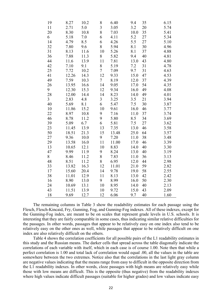| 19 | 8.27  | 10.2 | 8              | 6.40  | 9.4  | 35 | 6.15 |
|----|-------|------|----------------|-------|------|----|------|
| 11 | 2.71  | 5.0  | $\overline{3}$ | 3.05  | 3.2  | 20 | 5.74 |
| 20 | 8.30  | 10.8 | 8              | 7.03  | 10.0 | 35 | 5.41 |
| 6  | 5.18  | 7.0  | 6              | 4.11  | 5.2  | 27 | 5.34 |
| 14 | 4.79  | 8.5  | 6              | 4.26  | 5.5  | 27 | 5.10 |
| 32 | 7.80  | 9.6  | 8              | 5.94  | 8.1  | 30 | 4.96 |
| 31 | 8.13  | 11.6 | 10             | 5.26  | 8.1  | 37 | 4.88 |
| 36 | 7.88  | 11.3 | 8              | 5.82  | 9.4  | 40 | 4.81 |
| 44 | 11.6  | 13.9 | 11             | 7.81  | 13.0 | 43 | 4.80 |
| 42 | 7.10  | 9.1  | 8              | 5.19  | 7.2  | 31 | 4.78 |
| 25 | 7.72  | 10.2 | $\overline{7}$ | 7.09  | 9.7  | 31 | 4.63 |
| 41 | 12.26 | 14.3 | 12             | 9.33  | 15.0 | 47 | 4.53 |
| 49 | 7.59  | 10.3 | $\overline{7}$ | 8.19  | 12.0 | 37 | 4.39 |
| 26 | 13.95 | 16.6 | 14             | 9.05  | 17.0 | 54 | 4.35 |
| 9  | 12.30 | 15.3 | 12             | 9.34  | 16.0 | 49 | 4.08 |
| 28 | 12.00 | 14.4 | 14             | 8.23  | 14.0 | 49 | 4.01 |
| 3  | 2.83  | 4.8  | 3              | 3.25  | 3.5  | 21 | 3.94 |
| 40 | 5.69  | 8.1  | 6              | 5.47  | 7.5  | 30 | 3.87 |
| 10 | 11.86 | 15.2 | 10             | 9.61  | 16.0 | 46 | 3.77 |
| 22 | 8.97  | 10.8 | 9              | 7.16  | 11.0 | 37 | 3.74 |
| 46 | 8.78  | 11.2 | 9              | 5.80  | 8.5  | 34 | 3.69 |
| 39 | 5.09  | 6.7  | 6              | 5.81  | 7.5  | 27 | 3.62 |
| 23 | 11.45 | 13.9 | 13             | 7.35  | 13.0 | 46 | 3.58 |
| 50 | 18.51 | 21.3 | 15             | 13.48 | 25.0 | 64 | 3.57 |
| 27 | 9.36  | 10.0 | 9              | 7.20  | 11.0 | 38 | 3.48 |
| 29 | 13.58 | 16.0 | 11             | 11.00 | 17.0 | 46 | 3.39 |
| 13 | 10.65 | 12.1 | 10             | 8.83  | 14.0 | 40 | 3.30 |
| 47 | 9.99  | 11.9 | 9              | 8.24  | 13.0 | 40 | 3.19 |
| 8  | 8.46  | 11.2 | 8              | 7.83  | 11.0 | 36 | 3.13 |
| 48 | 8.51  | 11.2 | 8              | 6.95  | 12.0 | 44 | 2.98 |
| 33 | 13.82 | 16.3 | 12             | 11.01 | 21.0 | 59 | 2.82 |
| 17 | 15.60 | 20.4 | 14             | 9.78  | 19.0 | 58 | 2.55 |
| 38 | 11.01 | 12.9 | 11             | 8.13  | 13.0 | 42 | 2.42 |
| 16 | 8.90  | 13.0 | 9              | 8.99  | 16.0 | 50 | 2.30 |
| 24 | 10.69 | 13.1 | 10             | 8.95  | 14.0 | 40 | 2.13 |
| 43 | 11.51 | 13.9 | 10             | 9.72  | 15.0 | 43 | 2.09 |
| 18 | 9.69  | 12.7 | 12             | 6.06  | 9.7  | 40 | 1.60 |

The remaining columns in Table 3 show the readability estimates for each passage using the Flesch, Flesch-Kincaid, Fry, Gunning, Fog, and Gunning-Fog indexes. All of these indexes, except for the Gunning-Fog index, are meant to be on scales that represent grade levels in U.S. schools. It is interesting that they are fairly comparable in some cases, thus indicating similar relative difficulties for the passages. In other words, passages that appear to be relatively easy on one index also tend to be relatively easy on the other ones as well, while passages that appear to be relatively difficult on one index are also relatively difficult on the others.

Table 4 shows the correlation coefficients for all possible pairs of the L1 readability estimates in this study and the Russian means. The darker cells that spread across the table diagonally indicate the correlations of each variable with itself, which in each case is of course 1.00. Note then that while a perfect correlation is 1.00 and total lack of correlation would equal .00, all the values in the table are somewhere between the two extremes. Notice also that the correlations in the last light gray column are negative values indicating that the means range from easy to difficult in the opposite direction from the L1 readability indexes. In other words, cloze passages with high means are relatively easy while those with low means are difficult. This is the opposite (thus negative) from the readability indexes where high values indicate difficult passages (suitable for higher grades) and low values indicate easy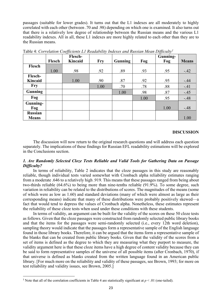passages (suitable for lower grades). It turns out that the L1 indexes are all moderately to highly correlated with each other (between .70 and .98) depending on which one is examined. It also turns out that there is a relatively low degree of relationship between the Russian means and the various L1 readability indexes. All in all, these L1 indexes are more highly related to each other than they are to the Russian means.

|                                | Flesch | -. <i></i><br>Flesch-<br><b>Kincaid</b> | <b>Fry</b> | Gunning | Fog  | $v \sim$<br>Gunning-<br>Fog | <b>Means</b> |
|--------------------------------|--------|-----------------------------------------|------------|---------|------|-----------------------------|--------------|
| Flesch                         |        |                                         |            |         |      |                             |              |
|                                | 1.00   | .98                                     | .92        | .89     | .93  | .95                         | $-.42$       |
| Flesch-                        |        |                                         |            |         |      |                             |              |
| <b>Kincaid</b>                 |        | 1.00                                    | .90        | .87     | .92  | .95                         | $-.44$       |
| <b>Fry</b>                     |        |                                         | 1.00       | .70     | .78  | .88                         | $-.41$       |
| <b>Gunning</b>                 |        |                                         |            | 1.00    | .98  | .87                         | $-.45$       |
| Fog                            |        |                                         |            |         | 1.00 | .95                         | $-.48$       |
| Gunning-<br>Fog                |        |                                         |            |         |      | 1.00                        | $-.48$       |
| <b>Russian</b><br><b>Means</b> |        |                                         |            |         |      |                             | 1.00         |

Table 4: *Correlation Coefficients L1 Readability Indexes and Russian Mean Difficulty1*

#### **DISCUSSION**

The discussion will now return to the original research questions and will address each question separately. The implications of these findings for Russian EFL readability estimations will be explored in the Conclusions section.

#### *1. Are Randomly Selected Cloze Tests Reliable and Valid Tools for Gathering Data on Passage Difficulty?*

In terms of reliability, Table 2 indicates that the cloze passages in this study are reasonably reliable, though individual tests varied somewhat with Cronbach alpha reliability estimates ranging from a moderate .646 to a relatively high .919. This means that these passages ranged from being about two-thirds reliable (64.6%) to being more than nine-tenths reliable (91.9%). To some degree, such variation in reliability can be related to the distributions of scores. The magnitudes of the means (some of which were as low as 1.60) and standard deviations (many of which were almost as large as their corresponding means) indicate that many of these distributions were probably positively skewed—a fact that would tend to depress the values of Cronbach alpha. Nonetheless, these estimates represent the reliability of these cloze tests when used under these conditions with these students.

In terms of validity, an argument can be built for the validity of the scores on these 50 cloze tests as follows. Given that the cloze passages were constructed from randomly selected public library books and that the items for the passages were semi-randomly selected (i.e., every 12th word deletion), sampling theory would indicate that the passages form a representative sample of the English language found in those library books. Therefore, it can be argued that the items form a representative sample of the blanks that can be created from public library books. Given that the validity of the scores from a set of items is defined as the degree to which they are measuring what they purport to measure, the validity argument here is that these cloze items have a high degree of content validity because they can be said to form representative samples of the universe of all possible items (after Cronbach, 1970), if that universe is defined as blanks created from the written language found in an American public library. [For much more on the reliability and validity of these passages, see Brown, 1993; for more on test reliability and validity issues, see Brown, 2005.]

<sup>&</sup>lt;sup>1</sup> Note that all of the correlation coefficients in Table 4 are statistically significant at  $p < .01$  (one-tailed).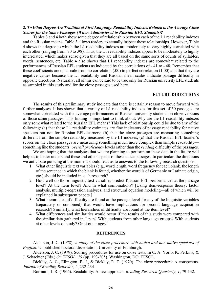#### *2. To What Degree Are Traditional First Language Readability Indexes Related to the Average Cloze Scores for the Same Passages (When Administered to Russian EFL Students)?*

Tables 3 and 4 both show some degree of relationship between each of the L1 readability indexes and the Russian means. Table 3 allows readers to actually inspect these relationships. However, Table 4 shows the degree to which the L1 readability indexes are moderately to very highly correlated with each other (ranging from .70 to .98). Thus, the L1 readability indexes appear to be moderately to highly interrelated, which makes sense given that they are all based on the same sorts of counts of syllables, words, sentences, etc. Table 4 also shows that L1 readability indexes are somewhat related to the performances of Russian EFL students as indicated by the correlations of -.41 to -.48. Remember that these coefficients are on a scale from no correlation (.00) to perfect correlation (1.00) and that they are negative values because the L1 readability and Russian mean scales indicate passage difficulty in opposite directions. Naturally, all of this can be said to be true only for Russian university EFL students as sampled in this study and for the cloze passages used here.

#### **FUTURE DIRECTIONS**

The results of this preliminary study indicate that there is certainly reason to move forward with further analyses. It has shown that a variety of L1 readability indexes for this set of 50 passages are somewhat correlated with the average performances of Russian university students on cloze versions of those same passages. This finding is important to think about. Why are the L1 readability indexes only somewhat related to the Russian EFL means? This lack of relationship could be due to any of the following: (a) that these L1 readability estimates are fine indicators of passage readability for native speakers but not for Russian EFL learners; (b) that the cloze passages are measuring something different from the simple readability measured by the L1 indexes; (c) that the Russian EFL learner's scores on the cloze passages are measuring something much more complex than simple readability something like the students' *overall proficiency* levels rather than the *reading* difficulty of the passages.

We are hoping that the analyses that we are planning to perform on these data in the future will help us to better understand these and other aspects of these cloze passages. In particular, the directions we anticipate pursuing at the moment should lead us to answers to the following research questions:

- 1. What other linguistic text variables (e.g., word length, word frequency for each blank, the length of the sentence in which the blank is found, whether the word is of Germanic or Latinate origin, etc.) should be included in such research?
- 2. How well do those linguistic text variables predict Russian EFL performances at the passage level? At the item level? And in what combinations? [Using item-response theory, factor analysis, multiple-regression analyses, and structural equation modeling—all of which will be explained in subsequent papers.]
- 3. What hierarchies of difficulty are found at the passage level for any of the linguistic variables (separately or combined) that would have implications for second language acquisition research? Similarly, what hierarchies of difficulty are found at the item level?
- 4. What differences and similarities would occur if the results of this study were compared with the similar data gathered in Japan? With students from other language groups? With students at other levels of study? Or at other ages?

#### **REFERENCES**

Alderson, J. C. (1978). *A study of the cloze procedure with native and non-native speakers of English*. Unpublished doctoral dissertation, University of Edinburgh.

Alderson, J. C. (1979). Scoring procedures for use on cloze tests. In C. A. Yorio, K. Perkins, & J. Schachter (Eds.) *On TESOL '79* (pp. 193-205). Washington, DC: TESOL.

Bickley, A. C., Ellington, B. J., & Bickley, R. T. (1970). The cloze procedure: A conspectus. *Journal of Reading Behavior*, *2*, 232-234.

Bormuth, J. R. (1966). Readability: A new approach. *Reading Research Quarterly*, *1*, 79-132.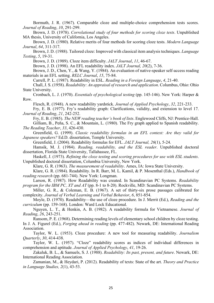Bormuth, J. R. (1967). Comparable cloze and multiple-choice comprehension tests scores. *Journal of Reading*, *10*, 291-299.

Brown, J. D. (1978). *Correlational study of four methods for scoring cloze tests*. Unpublished MA thesis, University of California, Los Angeles.

Brown, J. D. (1980). Relative merits of four methods for scoring cloze tests. *Modern Language Journal*, *64*, 311-317.

Brown, J. D. (1988). Tailored cloze: Improved with classical item analysis techniques. *Language Testing*, *5*, 19-31.

Brown, J. D. (1989). Cloze item difficulty. *JALT Journal*, *11*, 46-67.

Brown, J. D. (1998). An EFL readability index. *JALT Journal, 20*(2), 7-36.

Brown, J. D., Chen, Y., & Wang, Y. (1984). An evaluation of native-speaker self-access reading materials in an EFL setting. *RELC Journal*, *15*, 75-84.

Carrell, P. L. (1987). Readability in ESL. *Reading in a Foreign Language*, *4*, 21-40.

Chall, J. S. (1958). *Readability: An appraisal of research and application*. Columbus, Ohio: Ohio State University.

Cronbach, L. J. (1970). *Essentials of psychological testing* (pp. 145-146). New York: Harper & Row.

Flesch, R. (1948). A new readability yardstick. *Journal of Applied Psychology*, *32*, 221-233.

Fry, E. B. (1977). Fry's readability graph: Clarifications, validity, and extension to level 17. *Journal of Reading*, *21*, 242-252.

Fry, E. B. (1985). *The NEW reading teacher's book of lists*. Englewood Cliffs, NJ: Prentice-Hall. Gilliam, B., Peña, S. C., & Mountain, L. (1980). The Fry graph applied to Spanish readability. *The Reading Teacher*, *33*, 426-430.

Greenfield, G. (1999). *Classic readability formulas in an EFL context: Are they valid for Japanese speakers?* Ed.D. dissertation, Temple University.

Greenfield, J. (2004). Readability formulas for EFL. *JALT Journal, 26*(1), 5-24.

Hamsik, M. J. (1984). *Reading, readability, and the ESL reader*. Unpublished doctoral dissertation, Florida State University, Tallahassee, FL.

Haskell, J. (1973). *Refining the cloze testing and scoring procedures for use with ESL students*. Unpublished doctoral dissertation, Columbia University, New York.

Klare, G. R. (1963). *The measurement of readability*. Ames, IA: Iowa State University.

Klare, G. R. (1984). Readability. In R. Barr, M. L. Kamil, & P. Mosenthal (Eds.), *Handbook of reading research* (pp. 681-744). New York: Longman.

Larson, R. (1987). How Readability was created. In Scandinavian PC Systems. *Readability program for the IBM PC, XT and AT* (pp. 8-1 to 8-20). Rockville, MD: Scandinavian PC Systems.

Miller, G. R., & Coleman, E. B. (1967). A set of thirty-six prose passages calibrated for complexity. *Journal of Verbal Learning and Verbal Behavior*, *6*, 851-854.

Moyle, D. (1970). Readability—the use of cloze procedure. In J. Merrit (Ed.), *Reading and the curriculum* (pp. 159-168). London: Ward Lock Educational.

Nguyen, L. T., & Henkin, A. B. (1982). A readability formula for Vietnamese. *Journal of Reading*, *26*, 243-251.

Ransom, P. E. (1968). Determining reading levels of elementary school children by cloze testing. In J. A. Figurel (Ed.), *Forging ahead in reading* (pp. 477-482). Newark, DE: International Reading Association.

Taylor, W. L. (1953). Cloze procedure: A new tool for measuring readability. *Journalism Quarterly*, *30*, 414-438.

Taylor, W. L. (1957). "Cloze" readability scores as indices of individual differences in comprehension and aptitude. *Journal of Applied Psychology*, *41*, 19-26.

Zakaluk, B. L., & Samuels, S. J. (1988). *Readability: Its past, present, and future*. Newark, DE: International Reading Association.

Zamanian, M., & Heydari, P. (2012). Readability of texts: State of the art. *Theory and Practice in Language Studies, 2*(1), 43-53.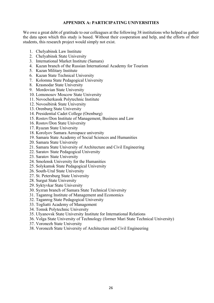#### **APPENDIX A: PARTICIPATING UNIVERSITIES**

We owe a great debt of gratitude to our colleagues at the following 38 institutions who helped us gather the data upon which this study is based. Without their cooperation and help, and the efforts of their students, this research project would simply not exist.

- 1. Chelyabinsk Law Institute
- 2. Chelyabinsk State University
- 3. International Market Institute (Samara)
- 4. Kazan branch of the Russian International Academy for Tourism
- 5. Kazan Military Institute
- 6. Kazan State Technical University
- 7. Kolomna State Pedagogical University
- 8. Krasnodar State University
- 9. Mordovian State University
- 10. Lomonosov Moscow State University
- 11. Novocherkassk Polytechnic Institute
- 12. Novosibirsk State University
- 13. Orenburg State University
- 14. Presidential Cadet College (Orenburg)
- 15. Rostov/Don Institute of Management, Business and Law
- 16. Rostov/Don State University
- 17. Ryazan State University
- 18. Korolyov Samara Aerospace university
- 19. Samara State Academy of Social Sciences and Humanities
- 20. Samara State University
- 21. Samara State University of Architecture and Civil Engineering
- 22. Saratov State Pedagogical University
- 23. Saratov State University
- 24. Smolensk University for the Humanities
- 25. Solykamsk State Pedagogical University
- 26. South-Ural State University
- 27. St. Petersburg State University
- 28. Surgut State University
- 29. Syktyvkar State University
- 30. Syzran branch of Samara State Technical University
- 31. Taganrog Institute of Management and Economics
- 32. Taganrog State Pedagogical University
- 33. Togliatti Academy of Management
- 34. Tomsk Polytechnic University
- 35. Ulyanovsk State University Institute for International Relations
- 36. Volga State University of Technology (former Mari State Technical University)
- 37. Voronezh State University
- 38. Voronezh State University of Architecture and Civil Engineering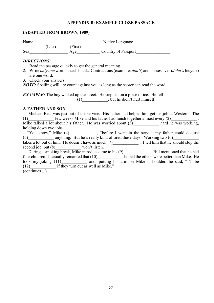#### **APPENDIX B: EXAMPLE CLOZE PASSAGE**

#### **(ADAPTED FROM BROWN, 1989)**

| Name       |        |         | Native Language     |  |
|------------|--------|---------|---------------------|--|
|            | (Last) | (First) |                     |  |
| <b>Sex</b> |        | Age     | Country of Passport |  |

#### *DIRECTIONS:*

- 1. Read the passage quickly to get the general meaning.
- 2. Write *only one* word in each blank. Contractions (example: *don't*) and possessives (*John's* bicycle) are one word.
- 3. Check your answers.

*NOTE:* Spelling will *not* count against you as long as the scorer can read the word.

*EXAMPLE:* The boy walked up the street. He stepped on a piece of ice. He fell (1) but he didn't hurt himself.

#### **A FATHER AND SON**

| Michael Beal was just out of the service. His father had helped him get his job at Western. The |  |                      |
|-------------------------------------------------------------------------------------------------|--|----------------------|
| few weeks Mike and his father had lunch together almost every (2)<br>(1)                        |  |                      |
| Mike talked a lot about his father. He was worried about (3)                                    |  | hard he was working, |
| holding down two jobs.                                                                          |  |                      |

"You know," Mike (4) went in the service my father could do just  $(5)$  anything. But he's really kind of tired these days. Working two  $(6)$ takes a lot out of him. He doesn't have as much (7) I tell him that he should stop the

second job, but (8) won't listen. During a smoking break, Mike introduced me to his  $(9)$  \_\_\_\_\_\_\_\_\_\_\_\_\_\_\_\_\_\_\_\_. Bill mentioned that he had

four children. I casually remarked that (10) hoped the others were better than Mike. He took my joking  $(11)$ \_\_\_\_\_\_\_\_\_\_\_ and, putting his arm on Mike's shoulder, he said, "I'll be  $(12)$  if they turn out as well as Mike." (continues ...)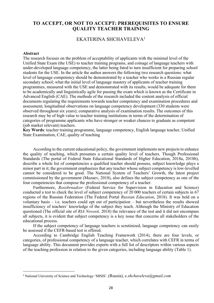#### **TO ACCEPT, OR NOT TO ACCEPT: PREREQUISITES TO ENSURE QUALITY TEACHER TRAINING**

#### EKATERINA SHCHAVELEVA1

#### **Abstract**

The research focuses on the problem of acceptability of applicants with the minimal level of the Unified State Exam (the USE) to teacher training programs, and coinage of language teachers with under-developed language competency, the latter being fated to turn insufficient for preparing school students for the USE. In the article the author answers the following two research questions: what level of language competency should be demonstrated by a teacher who works in a Russian regular secondary school; what the initial level of language mastery of applicants of teacher training programmes, measured with the USE and demonstrated with its results, would be adequate for them to be academically and linguistically agile for passing the exam which is known as the Certificate in Advanced English (CAE). The methods of the research included the content analysis of official documents regulating the requirements towards teacher competency and examination procedures and assessment; longitudinal observations on language competency development (330 students were observed throughout six years); comparative analysis of examination results. The outcomes of this research may be of high value to teacher training institutions in terms of the determination of categories of programme applicants who have stronger or weaker chances to graduate as competent (iob market relevant) teachers.

**Key Words**: teacher training programme, language competency, English language teacher, Unified State Examination, CAE, quality of teaching

According to the current educational policy, the government implements new projects to enhance the quality of teaching, which presumes a certain quality level of teachers. Though Professional Standards (The portal of Federal State Educational Standards of Higher Education, 2018a, 2018b), describe a whole list of competencies a qualified teacher should possess, subject knowledge plays a minor part in it; the government emphasizes that any teacher whose subject competency is low-levelled cannot be considered to be good. The National System of Teachers' Growth, the latest project commissioned by the government (Muzaev, 2018), also defines the subject competency as one of the four competencies that compose the professional competency of a teacher.

Furthermore, *Rosobrnadzor* (Federal Service for Supervision in Education and Science) conducted a test to check the level of subject competency of 20 000 teachers of certain subjects in 67 regions of the Russian Federation (The Federal Portal *Russian Education*, 2018). It was held on a voluntary basis – i.e. teachers could opt out of participation – but nevertheless the results showed insufficiency of teachers' knowledge of the subject they teach. Although the Ministry of Education questioned (The official site of *RIA Novosti,* 2018) the relevance of the test and it did not encompass all subjects, it is evident that subject competency is a key issue that concerns all stakeholders of the educational process.

If the subject competency of language teachers is scrutinized, language competency can easily be assessed if the CEFR-based test is offered.

According to Cambridge English Teaching Framework (2014), there are four levels, or categories, of professional competency of a language teacher, which correlates with CEFR in terms of language ability. This document provides experts with a full list of descriptors within various aspects of the teaching profession in relation to the given categories, including language ability (Table 1).

 <sup>1</sup> National University of Science and Technology 'MISIS', (Russia), *e.shchaveleva@gmail.com*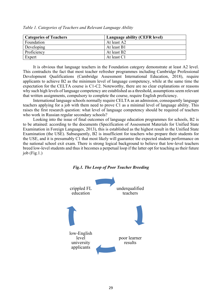| <b>Categories of Teachers</b> | Language ability (CEFR level) |
|-------------------------------|-------------------------------|
| Foundation                    | At least A2                   |
| Developing                    | At least B1                   |
| Proficiency                   | At least B2                   |
| Expert                        | At least C1                   |

*Table 1. Categories of Teachers and Relevant Language Ability*

It is obvious that language teachers in the Foundation category demonstrate at least A2 level. This contradicts the fact that most teacher refresher programmes including Cambridge Professional Development Qualifications (Cambridge Assessment International Education, 2018), require applicants to achieve B2 as the minimum level of language competency, while at the same time the expectation for the CELTA course is C1-C2. Noteworthy, there are no clear explanations or reasons why such high levels of language competency are established as a threshold, assumptions seem relevant that written assignments, compulsory to complete the course, require English proficiency.

International language schools normally require CELTA as an admission, consequently language teachers applying for a job with them need to prove C1 as a minimal level of language ability. This raises the first research question: what level of language competency should be required of teachers who work in Russian regular secondary schools?

Looking into the issue of final outcomes of language education programmes for schools, B2 is to be attained: according to the documents (Specification of Assessment Materials for Unified State Examination in Foreign Languages, 2013), this is established as the highest result in the Unified State Examination (the USE). Subsequently, B2 is insufficient for teachers who prepare their students for the USE, and it is presumably C1 that most likely will guarantee the expected student performance on the national school exit exam. There is strong logical background to believe that low-level teachers breed low-level students and thus it becomes a perpetual loop if the latter opt for teaching as their future job (Fig.1.)



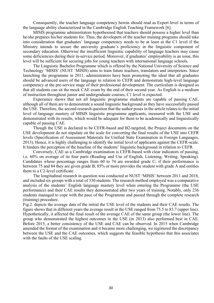Consequently, the teacher language competency herein should read as Expert level in terms of the language ability characterized in the Cambridge English Teaching Framework [6].

MISIS programme administrators hypothesised that teachers should possess a higher level than he/she prepares his/her students for. Thus, the developers of the teacher training programs should take into consideration that graduates' language competency needs to be at least at the C1 level if the Ministry intends to secure the university graduate's proficiency in the linguistic component of secondary education. Otherwise the insufficient linguistic capability of language teachers may cause some deficiencies during their in-service period. Moreover, if graduates' employability is an issue, this level will be sufficient for securing jobs for young teachers with international language schools.

The Linguistic Bachelor Programme which is offered by the National University of Science and Technology 'MISIS' (NUST 'MISIS) aims to train future teachers, translators and interpreters. Since launching the programme in 2011, administrators have been promoting the ideal that all graduates should be advanced users of the language in relation to CEFR and demonstrate high-level language competency at the pre-service stage of their professional development. The curriculum is designed so that all students can sit the mock CAE exam by the end of their second year. As English is a medium of instruction throughout junior and undergraduate courses, C1 level is expected.

Experience shows that not all linguistic programme students are capable of passing CAE, although all of them are to demonstrate a sound linguistic background as they have successfully passed the USE. Therefore, the second research question that the author poses in the article relates to the initial level of language mastery of MISIS linguistic programme applicants, measured with the USE and demonstrated with its results, which would be adequate for them to be academically and linguistically capable of passing CAE.

Though the USE is declared to be CEFR-based and B2-targeted, the Project documents on the USE development do not stipulate on the scale for converting the final results of the USE into CEFR levels (Specification of Assessment Materials for Unified State Examination in Foreign Languages, 2013). Hence, it is highly challenging to identify the initial level of applicants against the CEFR-scale. It hinders the perception of the baseline of the students' linguistic background in relation to CEFR.

Conversely, CAE as a Cambridge examination is CEFR-based with clear indicators of passing, i.e. 60% on average of its four parts (Reading and Use of English, Listening, Writing, Speaking). Candidates whose percentage ranges from 60 to 74 are awarded grade C; if their performance is between 75 and 84 they are given grade B; 85% or more provides the student with grade A and entitles them to a C2-level certificate.

The longitudinal research in question was conducted at NUST 'MISIS' between 2011 and 2018, and included six groups with a total of 330 students. The research method employed was a comparative analysis of the students' English language mastery level when entering the Programme (the USE performance) and their CAE results they demonstrated after two years of training. Notably, only 236 students managed to cope with the pace of the Programme and passed through the complete research (training) procedure.

Fig.2. depicts the average data of the initial the USE level of the students and their CAE results. The figure shows that in different years the average result in the USE ranged from 75.5 to 83.7 (upper line). Hypothetically, it affected the final result of the average CAE of the same group (the lower line). The group who demonstrated the highest outcomes in the USE (in 2013) also performed best in CAE. Before 2015, a better consistency of the USE and CAE can be observed. In 2015 when Cambridge amended the format of the examination and it became more challenging, we registered the discrepancy between the USE and the CAE outcomes, which suggests the feasible hypothesis that this associates with the faults of the USE scaling.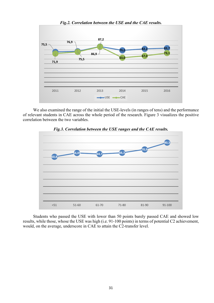

We also examined the range of the initial the USE-levels (in ranges of tens) and the performance of relevant students in CAE across the whole period of the research. Figure 3 visualizes the positive correlation between the two variables.



*Fig.3. Correlation between the USE ranges and the CAE results.*

Students who passed the USE with lower than 50 points barely passed CAE and showed low results, while those, whose the USE was high (i.e. 91-100 points) in terms of potential C2 achievement, would, on the average, underscore in CAE to attain the C2-transfer level.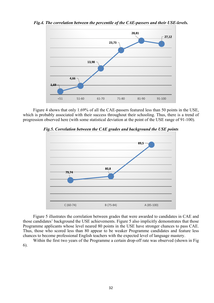

*Fig.4. The correlation between the percentile of the CAE-passers and their USE-levels.*

Figure 4 shows that only 1.69% of all the CAE-passers featured less than 50 points in the USE, which is probably associated with their success throughout their schooling. Thus, there is a trend of progression observed here (with some statistical deviation at the point of the USE range of 91-100).



*Fig.5. Correlation between the CAE grades and background the USE points*

Figure 5 illustrates the correlation between grades that were awarded to candidates in CAE and those candidates' background the USE achievements. Figure 5 also implicitly demonstrates that those Programme applicants whose level neared 80 points in the USE have stronger chances to pass CAE. Thus, those who scored less than 80 appear to be weaker Programme candidates and feature less chances to become professional English teachers with the expected level of language mastery.

Within the first two years of the Programme a certain drop-off rate was observed (shown in Fig 6).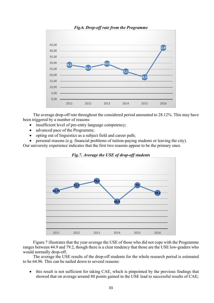

The average drop-off rate throughout the considered period amounted to 28.12%. This may have been triggered by a number of reasons:

- insufficient level of pre-entry language competency;
- advanced pace of the Programme;
- opting out of linguistics as a subject field and career path;

• personal reasons (e.g. financial problems of tuition-paying students or leaving the city). Our university experience indicates that the first two reasons appear to be the primary ones.





Figure 7 illustrates that the year-average the USE of those who did not cope with the Programme ranges between 44.9 and 79.2, though there is a clear tendency that those are the USE low-graders who would normally drop-off.

The average the USE results of the drop-off students for the whole research period is estimated to be 64.96. This can be nailed down to several reasons:

• this result is not sufficient for taking CAE, which is pinpointed by the previous findings that showed that on average around 80 points gained in the USE lead to successful results of CAE;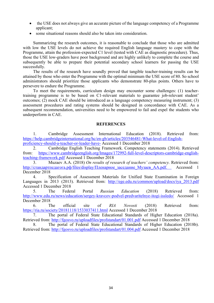- the USE does not always give an accurate picture of the language competency of a Programme applicant;
- some situational reasons should also be taken into consideration.

Summarizing the research outcomes, it is reasonable to conclude that those who are admitted with low the USE levels do not achieve the required English language mastery to cope with the Programme, attain the profession-expected C1 level (tested with CAE as diagnostic procedure). Thus, those the USE low-graders have poor background and are highly unlikely to complete the course and subsequently be able to prepare their potential secondary school learners for passing the USE successfully.

The results of the research have soundly proved that tangible teacher-training results can be attained by those who enter the Programme with the optimal minimum the USE score of 80. So school administrators should prioritize those applicants who demonstrate 80-plus points. Others have to persevere to endure the Programme.

To meet the requirements, curriculum design may encounter some challenges: (1) teachertraining programme is to be based on C1-relevant materials to guarantee job-relevant student' outcomes; (2) mock CAE should be introduced as a language competency measuring instrument; (3) assessment procedures and rating systems should be designed in concordance with CAE. As a subsequent recommendation, universities need to be empowered to fail and expel the students who underperform in CAE.

#### **REFERENCES**

1. Cambridge Assessment International Education (2018). Retrieved from: https://help.cambridgeinternational.org/hc/en-gb/articles/203546481-What-level-of-Englishproficiency-should-a-teacher-or-leader-have- Accessed 1 December 2018

2. Cambridge English Teaching Framework. Competency statements (2014). Retrieved from: https://www.cambridgeenglish.org/Images/172992-full-level-descriptors-cambridge-englishteaching-framework.pdf Accessed 1 December 2018

3. Muzaev A.A. (2018) *On results of research of teachers' competency.* Retrieved from: http://стандартпедагога.pф/files/display/Пленарное заседание Myзаев AA.pdf. Accessed 1 December 2018

Specification of Assessment Materials for Unified State Examination in Foreign Languages in 2013 (2013). Retrieved from: http://ege.edu.ru/common/upload/docs/iva 2013.pdf Accessed 1 December 2018

5. The Federal Portal *Russian Education* (2018) Retrieved from: http://www.edu.ru/news/education/sergey-kravcov-podvel-predvaritelnye-itogi-issledo/ Accessed 1 December 2018

6. The official site of *RIA Novosti* (2018) Retrieved from: https://ria.ru/society/20181118/1533037411.html Accessed 1 December 2018

7. The portal of Federal State Educational Standards of Higher Education (2018a). Retrieved from: http://fgosvo.ru/uploadfiles/profstandart/01.001.pdf Accessed 1 December 2018

8. The portal of Federal State Educational Standards of Higher Education (2018b). Retrieved from: http://fgosvo.ru/uploadfiles/profstandart/01.004.pdf Accessed 1 December 2018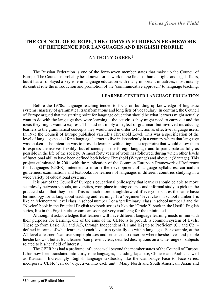#### **THE COUNCIL OF EUROPE, THE COMMON EUROPEAN FRAMEWORK OF REFERENCE FOR LANGUAGES AND ENGLISH PROFILE**

#### ANTHONY GREEN1

The Russian Federation is one of the forty-seven member states that make up the Council of Europe. The Council is probably best known for its work in the fields of human rights and legal affairs, but it has also played a key role in language education with many important initiatives, most notably its central role the introduction and promotion of the 'communicative approach' to language teaching.

#### **LEARNER-CENTRED LANGUAGE EDUCATION**

Before the 1970s, language teaching tended to focus on building up knowledge of linguistic systems: mastery of grammatical transformations and long lists of vocabulary. In contrast, the Council of Europe argued that the starting point for language education should be what learners might actually want to do with the language they were learning – the activities they might need to carry out and the ideas they might want to express. This did not imply a neglect of grammar, but involved introducing learners to the grammatical concepts they would need in order to function as effective language users. In 1975 the Council of Europe published van Ek's Threshold Level. This was a specification of the level of language needed for a language learner to live independently in a country where that language was spoken. The intention was to provide learners with a linguistic repertoire that would allow them to express themselves flexibly, but efficiently in the foreign language and to participate as fully as possible in the life of the society. Almost forty years of work has followed, during which other levels of functional ability have been defined both below Threshold (Waystage) and above it (Vantage). This project culminated in 2001 with the publication of the Common European Framework of Reference for Languages (CEFR), intended to inform the development of language syllabuses, curriculum guidelines, examinations and textbooks for learners of languages in different countries studying in a wide variety of educational systems.

It is part of the Council of Europe's educational philosophy that learners should be able to move seamlessly between schools, universities, workplace training courses and informal study to pick up the practical skills that they need. This is much more straightforward if everyone shares the same basic terminology for talking about teaching and learning. If a 'beginner' level class in school number 1 is like an 'elementary' level class in school number 2 or a 'preliminary' class in school number 3 and the 'Novice' book in the Practical English textbook series is like the 'Grade 2' book in the Useful English series, life in the English classroom can soon get very confusing for the uninitiated.

Although it acknowledges that learners will have different language learning needs in line with their purposes for learning, one of the aims of the CEFR is to provide a common system of levels. These go from Basic (A1 and A2), through Independent (B1 and B2) up to Proficient (C1 and C2) – defined in terms of what learners at each level can typically do with a language. For example, at the A1 level a learner, 'can use simple phrases and sentences to describe where he/she lives and people he/she knows', but at B2 a learner 'can present clear, detailed descriptions on a wide range of subjects related to his/her field of interest'.

The CEFR has had a profound influence well beyond the member states of the Council of Europe. It has now been translated into thirty-nine languages, including Japanese, Chinese and Arabic as well as Russian. Increasingly English language textbooks, like the Cambridge Face to Face series, incorporate CEFR 'can do' objectives into each unit. Many North and South American, Asian and

l

<sup>&</sup>lt;sup>1</sup> University of Bedfordshire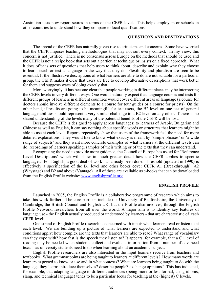Australian tests now report scores in terms of the CEFR levels. This helps employers or schools in other countries to understand how they compare to local qualifications.

#### **QUESTIONS AND RESERVATIONS**

The spread of the CEFR has naturally given rise to criticisms and concerns. Some have worried that the CEFR imposes teaching methodologies that may not suit every context. In my view, this concern is not justified. There is no consensus across Europe on the methods that should be used and the CEFR is not a recipe book that sets out a particular technique or insists on a fixed approach. What it does offer is sets of questions that help users to think about, describe and explain why they choose to learn, teach or test a language in the way that they do. Flexibility and pluralism are seen to be essential. If the illustrative descriptions of what learners are able to do are not suitable for a particular group, the CEFR makes it clear that users are free to develop alternative descriptions that work better for them and suggests ways of doing exactly that.

More worryingly, it has become clear that people working in different places may be interpreting the CEFR levels in very different ways. One would naturally expect that language courses and tests for different groups of learners in different countries would cover different areas of language (a course for doctors should involve different elements to a course for tour guides or a course for priests). On the other hand, if results are going to be meaningful for test users, the B2 level on one test of general language abilities should represent a very similar challenge to a B2 level on any other. If there is no shared understanding of the levels many of the potential benefits of the CEFR will be lost.

Because the CEFR is designed to apply across languages: to learners of Arabic, Bulgarian and Chinese as well as English, it can say nothing about specific words or structures that learners might be able to use at each level. Reports repeatedly show that users of the framework feel the need for more detailed explanations. They would like to know what exactly is meant by 'simple phrases' or 'a wide range of subjects' and they want more concrete examples of what learners at the different levels can do: recordings of learners speaking, samples of their writing or of the texts that they can understand.

Recognizing the need to provide more guidance, the Council of Europe has asked for 'Reference Level Descriptions' which will show in much greater detail how the CEFR applies to specific languages. For English, a good deal of work has already been done. Threshold (updated in 1990) is effectively a specification of the B1 level and other books cover CEFR A1 (Breakthrough), A2 (Waystage) and B2 and above (Vantage). All of these are available as e-books that can be downloaded from the English Profile website: www.englishprofile.org.

#### **ENGLISH PROFILE**

Launched in 2005, the English Profile is a collaborative programme of research which aims to take this work further. The core partners include the University of Bedfordshire, the University of Cambridge, the British Council and English UK, but the Profile also involves, through the English Profile Network, researchers from all over the world. A major aim is to identify key features of language use - the English actually produced or understood by learners - that are characteristic of each CEFR level:.

One strand of English Profile research is concerned with input: what learners read or listen to at each level. We are building up a picture of what learners are expected to understand and what conditions apply: how complex are the texts that learners are able to read? What range of vocabulary can they cope with? how fast is the speech they listen to? It appears, for example, that a C1 level of reading may be needed when students collect and evaluate information from a number of advanced texts – as university students need to do when learning about an academic subject.

English Profile researchers are also interested in the input learners receive from teachers and textbooks. What grammar points are being taught to learners at different levels? How many words are learners expected to know or use and in what contexts? What are learners being taught to do with the language they learn: introduce themselves? describe people? exchange opinions? This has indicated, for example, that adapting language to different audiences (being more or less formal, using idioms, slang, and technical language) tends to be a particular focus for teaching at the (highest) C levels.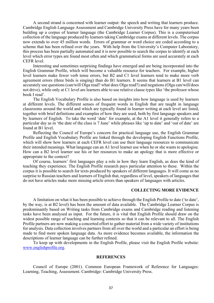A second strand is concerned with learner output: the speech and writing that learners produce. Cambridge English Language Assessment and Cambridge University Press have for many years been building up a corpus of learner language (the Cambridge Learner Corpus). This is a computerised collection of the language produced by learners taking Cambridge exams at different levels. The corpus now extends to over 45 million words. Errors of grammar or word choice are coded according to a scheme that has been refined over the years. With help from the University's Computer Laboratory, this process has been partially automated and it is now possible to search the corpus to identify at each level which error types are found most often and which grammatical forms are used accurately at each CEFR level.

Interesting and sometimes surprising findings have emerged and are being incorporated into the English Grammar Profile, which will become a valuable resource for teachers. For example, higher level learners make fewer verb tense errors, but B2 and C1 level learners tend to make more verb agreement errors (three birds is singing) than do B1 learners. It seems that learners at B1 level can accurately use questions (can/will Olga read? what does Olga read?) and negations (Olga can/will/does not drive), while only at C1 level are learners able to use relative clause types like 'the professor whose book I read'.

The English Vocabulary Profile is also based on insights into how language is used by learners at different levels. The different senses of frequent words in English that are taught in language classrooms around the world and which are typically found in learner writing at each level are listed, together with brief definitions and examples of how they are used, both by first language speakers and by learners of English. To take the word 'date' for example, at the A1 level it generally refers to a particular day as in 'the date of the class is 7 June' while phrases like 'up to date' and 'out of date' are found at B1 level.

Reflecting the Council of Europe's concern for practical language use, the English Grammar Profile and English Vocabulary Profile are linked through the developing English Functions Profile, which will show how learners at each CEFR level can use their language resources to communicate their intended meanings. What language can an A1 level learner use when he or she wants to apologise. How can a B2 level learner use his or her resources to make an apology that is more effective or appropriate to the context?

Of course, learners' first languages play a role in how they learn English, as does the kind of teaching they experience. The English Profile research pays particular attention to these. Within the corpus it is possible to search for texts produced by speakers of different languages. It will come as no surprise to Russian teachers and learners of English that, regardless of level, speakers of languages that do not have articles make more missing article errors than speakers of languages with articles.

#### **COLLECTING MORE EVIDENCE**

A limitation on what it has been possible to achieve through the English Profile to date ('to date', by the way, is at B2 level) has been the amount of data available. The Cambridge Learner Corpus is predominantly based on Writing tasks from Cambridge exams and Cambridge reading and listening tasks have been analysed as input. For the future, it is vital that English Profile should draw on the widest possible range of teaching and learning contexts so that it can be relevant to all. The English Profile partners are now making a concerted effort to gather material from a wide variety of institutions for analysis. Data collection involves partners from all over the world and a particular an effort is being made to find more spoken language data. As more evidence becomes available, the information the descriptions of learner language can be further refined.

To keep up with developments in the English Profile, please visit the English Profile website: www.englishprofile.org.

#### **REFERENCES**

Council of Europe (2001). Common European Framework of Reference for Languages: Learning, Teaching, Assessment. Cambridge: Cambridge University Press.